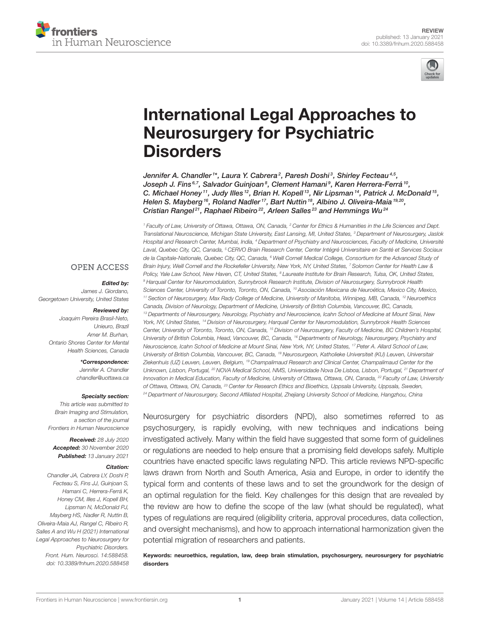



# [International Legal Approaches to](https://www.frontiersin.org/articles/10.3389/fnhum.2020.588458/full) Neurosurgery for Psychiatric **Disorders**

Jennifer A. Chandler1\*, Laura Y. Cabrera<sup>2</sup>, Paresh Doshi<sup>3</sup>, Shirley Fecteau<sup>4,5</sup>, Joseph J. Fins<sup>6,7</sup>, Salvador Guinjoan<sup>8</sup>, Clement Hamani<sup>9</sup>, Karen Herrera-Ferrá<sup>10</sup>, C. Michael Honey  $11$ , Judy Illes  $12$ , Brian H. Kopell  $13$ , Nir Lipsman  $14$ , Patrick J. McDonald  $15$ , Helen S. Mayberg <sup>16</sup>, Roland Nadler<sup>17</sup>, Bart Nuttin <sup>18</sup>, Albino J. Oliveira-Maia <sup>19,20</sup>, Cristian Rangel<sup>21</sup>, Raphael Ribeiro<sup>22</sup>, Arleen Salles<sup>23</sup> and Hemmings Wu<sup>24</sup>

<sup>1</sup> Faculty of Law, University of Ottawa, Ottawa, ON, Canada, <sup>2</sup> Center for Ethics & Humanities in the Life Sciences and Dept. Translational Neuroscience, Michigan State University, East Lansing, MI, United States, <sup>3</sup> Department of Neurosurgery, Jaslok Hospital and Research Center, Mumbai, India, <sup>4</sup> Department of Psychiatry and Neurosciences, Faculty of Medicine, Université Laval, Quebec City, QC, Canada, <sup>5</sup> CERVO Brain Research Center, Center Intégré Universitaire en Santé et Services Sociaux de la Capitale-Nationale, Quebec City, QC, Canada, <sup>6</sup> Weill Cornell Medical College, Consortium for the Advanced Study of Brain Injury, Weill Cornell and the Rockefeller University, New York, NY, United States, <sup>7</sup> Solomon Center for Health Law & Policy, Yale Law School, New Haven, CT, United States, <sup>8</sup> Laureate Institute for Brain Research, Tulsa, OK, United States, 9 Harquail Center for Neuromodulation, Sunnybrook Research Institute, Division of Neurosurgery, Sunnybrook Health Sciences Center, University of Toronto, Toronto, ON, Canada, <sup>10</sup> Asociación Mexicana de Neuroética, Mexico City, Mexico, <sup>11</sup> Section of Neurosurgery, Max Rady College of Medicine, University of Manitoba, Winnipeg, MB, Canada, <sup>12</sup> Neuroethics Canada, Division of Neurology, Department of Medicine, University of British Columbia, Vancouver, BC, Canada, <sup>13</sup> Departments of Neurosurgery, Neurology, Psychiatry and Neuroscience, Icahn School of Medicine at Mount Sinai, New York, NY, United States, <sup>14</sup> Division of Neurosurgery, Harquail Center for Neuromodulation, Sunnybrook Health Sciences Center, University of Toronto, Toronto, ON, Canada, <sup>15</sup> Division of Neurosurgery, Faculty of Medicine, BC Children's Hospital, University of British Columbia, Head, Vancouver, BC, Canada, <sup>16</sup> Departments of Neurology, Neurosurgery, Psychiatry and Neuroscience, Icahn School of Medicine at Mount Sinai, New York, NY, United States, <sup>17</sup> Peter A. Allard School of Law, University of British Columbia, Vancouver, BC, Canada, <sup>18</sup> Neurosurgeon, Katholieke Universiteit (KU) Leuven, Universitair Ziekenhuis (UZ) Leuven, Leuven, Belgium, <sup>19</sup> Champalimaud Research and Clinical Center, Champalimaud Center for the Unknown, Lisbon, Portugal, <sup>20</sup> NOVA Medical School, NMS, Universidade Nova De Lisboa, Lisbon, Portugal, <sup>21</sup> Department of Innovation in Medical Education, Faculty of Medicine, University of Ottawa, Ottawa, ON, Canada, <sup>22</sup> Faculty of Law, University of Ottawa, Ottawa, ON, Canada, <sup>23</sup> Center for Research Ethics and Bioethics, Uppsala University, Uppsala, Sweden, <sup>24</sup> Department of Neurosurgery, Second Affiliated Hospital, Zhejiang University School of Medicine, Hangzhou, China

Neurosurgery for psychiatric disorders (NPD), also sometimes referred to as psychosurgery, is rapidly evolving, with new techniques and indications being investigated actively. Many within the field have suggested that some form of guidelines or regulations are needed to help ensure that a promising field develops safely. Multiple countries have enacted specific laws regulating NPD. This article reviews NPD-specific laws drawn from North and South America, Asia and Europe, in order to identify the typical form and contents of these laws and to set the groundwork for the design of an optimal regulation for the field. Key challenges for this design that are revealed by the review are how to define the scope of the law (what should be regulated), what types of regulations are required (eligibility criteria, approval procedures, data collection, and oversight mechanisms), and how to approach international harmonization given the potential migration of researchers and patients.

Keywords: neuroethics, regulation, law, deep brain stimulation, psychosurgery, neurosurgery for psychiatric disorders

### **OPEN ACCESS**

#### Edited by:

James J. Giordano, Georgetown University, United States

#### Reviewed by:

Joaquim Pereira Brasil-Neto, Unieuro, Brazil Amer M. Burhan, Ontario Shores Center for Mental Health Sciences, Canada

\*Correspondence:

Jennifer A. Chandler [chandler@uottawa.ca](mailto:chandler@uottawa.ca)

#### Specialty section:

This article was submitted to Brain Imaging and Stimulation, a section of the journal Frontiers in Human Neuroscience

Received: 28 July 2020 Accepted: 30 November 2020 Published: 13 January 2021

#### Citation:

Chandler JA, Cabrera LY, Doshi P, Fecteau S, Fins JJ, Guinjoan S, Hamani C, Herrera-Ferrá K, Honey CM, Illes J, Kopell BH, Lipsman N, McDonald PJ, Mayberg HS, Nadler R, Nuttin B, Oliveira-Maia AJ, Rangel C, Ribeiro R, Salles A and Wu H (2021) International Legal Approaches to Neurosurgery for Psychiatric Disorders. Front. Hum. Neurosci. 14:588458. doi: [10.3389/fnhum.2020.588458](https://doi.org/10.3389/fnhum.2020.588458)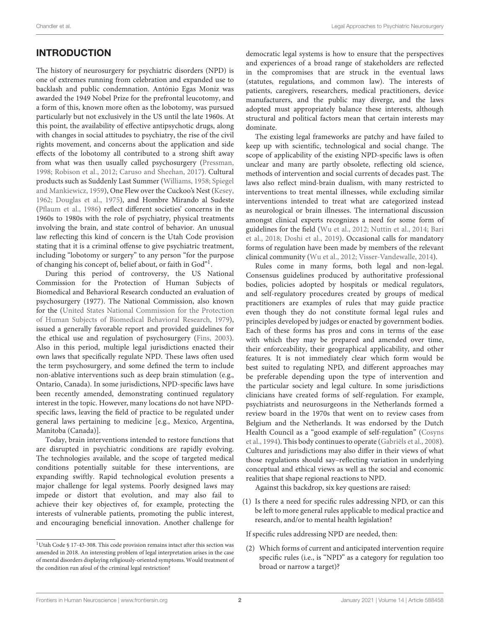# INTRODUCTION

The history of neurosurgery for psychiatric disorders (NPD) is one of extremes running from celebration and expanded use to backlash and public condemnation. António Egas Moniz was awarded the 1949 Nobel Prize for the prefrontal leucotomy, and a form of this, known more often as the lobotomy, was pursued particularly but not exclusively in the US until the late 1960s. At this point, the availability of effective antipsychotic drugs, along with changes in social attitudes to psychiatry, the rise of the civil rights movement, and concerns about the application and side effects of the lobotomy all contributed to a strong shift away from what was then usually called psychosurgery [\(Pressman,](#page-18-0) [1998;](#page-18-0) [Robison et al., 2012;](#page-18-1) [Caruso and Sheehan, 2017\)](#page-17-0). Cultural products such as Suddenly Last Summer [\(Williams, 1958;](#page-18-2) Spiegel and Mankiewicz, [1959\)](#page-18-3), One Flew over the Cuckoo's Nest [\(Kesey,](#page-18-4) [1962;](#page-18-4) [Douglas et al., 1975\)](#page-17-1), and Hombre Mirando al Sudeste [\(Pflaum et al., 1986\)](#page-18-5) reflect different societies' concerns in the 1960s to 1980s with the role of psychiatry, physical treatments involving the brain, and state control of behavior. An unusual law reflecting this kind of concern is the Utah Code provision stating that it is a criminal offense to give psychiatric treatment, including "lobotomy or surgery" to any person "for the purpose of changing his concept of, belief about, or faith in God"[1](#page-1-0).

During this period of controversy, the US National Commission for the Protection of Human Subjects of Biomedical and Behavioral Research conducted an evaluation of psychosurgery (1977). The National Commission, also known for the (United States National Commission for the Protection of Human Subjects of Biomedical Behavioral Research, [1979\)](#page-18-6), issued a generally favorable report and provided guidelines for the ethical use and regulation of psychosurgery [\(Fins, 2003\)](#page-17-2). Also in this period, multiple legal jurisdictions enacted their own laws that specifically regulate NPD. These laws often used the term psychosurgery, and some defined the term to include non-ablative interventions such as deep brain stimulation (e.g., Ontario, Canada). In some jurisdictions, NPD-specific laws have been recently amended, demonstrating continued regulatory interest in the topic. However, many locations do not have NPDspecific laws, leaving the field of practice to be regulated under general laws pertaining to medicine [e.g., Mexico, Argentina, Manitoba (Canada)].

Today, brain interventions intended to restore functions that are disrupted in psychiatric conditions are rapidly evolving. The technologies available, and the scope of targeted medical conditions potentially suitable for these interventions, are expanding swiftly. Rapid technological evolution presents a major challenge for legal systems. Poorly designed laws may impede or distort that evolution, and may also fail to achieve their key objectives of, for example, protecting the interests of vulnerable patients, promoting the public interest, and encouraging beneficial innovation. Another challenge for

<span id="page-1-0"></span><sup>1</sup>Utah Code § 17-43-308. This code provision remains intact after this section was amended in 2018. An interesting problem of legal interpretation arises in the case of mental disorders displaying religiously-oriented symptoms. Would treatment of the condition run afoul of the criminal legal restriction?

democratic legal systems is how to ensure that the perspectives and experiences of a broad range of stakeholders are reflected in the compromises that are struck in the eventual laws (statutes, regulations, and common law). The interests of patients, caregivers, researchers, medical practitioners, device manufacturers, and the public may diverge, and the laws adopted must appropriately balance these interests, although structural and political factors mean that certain interests may dominate.

The existing legal frameworks are patchy and have failed to keep up with scientific, technological and social change. The scope of applicability of the existing NPD-specific laws is often unclear and many are partly obsolete, reflecting old science, methods of intervention and social currents of decades past. The laws also reflect mind-brain dualism, with many restricted to interventions to treat mental illnesses, while excluding similar interventions intended to treat what are categorized instead as neurological or brain illnesses. The international discussion amongst clinical experts recognizes a need for some form of guidelines for the field [\(Wu et al., 2012;](#page-19-0) [Nuttin et al., 2014;](#page-18-7) Bari et al., [2018;](#page-17-3) [Doshi et al., 2019\)](#page-17-4). Occasional calls for mandatory forms of regulation have been made by members of the relevant clinical community [\(Wu et al., 2012;](#page-19-0) [Visser-Vandewalle, 2014\)](#page-18-8).

Rules come in many forms, both legal and non-legal. Consensus guidelines produced by authoritative professional bodies, policies adopted by hospitals or medical regulators, and self-regulatory procedures created by groups of medical practitioners are examples of rules that may guide practice even though they do not constitute formal legal rules and principles developed by judges or enacted by government bodies. Each of these forms has pros and cons in terms of the ease with which they may be prepared and amended over time, their enforceability, their geographical applicability, and other features. It is not immediately clear which form would be best suited to regulating NPD, and different approaches may be preferable depending upon the type of intervention and the particular society and legal culture. In some jurisdictions clinicians have created forms of self-regulation. For example, psychiatrists and neurosurgeons in the Netherlands formed a review board in the 1970s that went on to review cases from Belgium and the Netherlands. It was endorsed by the Dutch Health Council as a "good example of self-regulation" (Cosyns et al., [1994\)](#page-17-5). This body continues to operate [\(Gabriëls et al., 2008\)](#page-17-6). Cultures and jurisdictions may also differ in their views of what those regulations should say–reflecting variation in underlying conceptual and ethical views as well as the social and economic realities that shape regional reactions to NPD.

Against this backdrop, six key questions are raised:

(1) Is there a need for specific rules addressing NPD, or can this be left to more general rules applicable to medical practice and research, and/or to mental health legislation?

If specific rules addressing NPD are needed, then:

(2) Which forms of current and anticipated intervention require specific rules (i.e., is "NPD" as a category for regulation too broad or narrow a target)?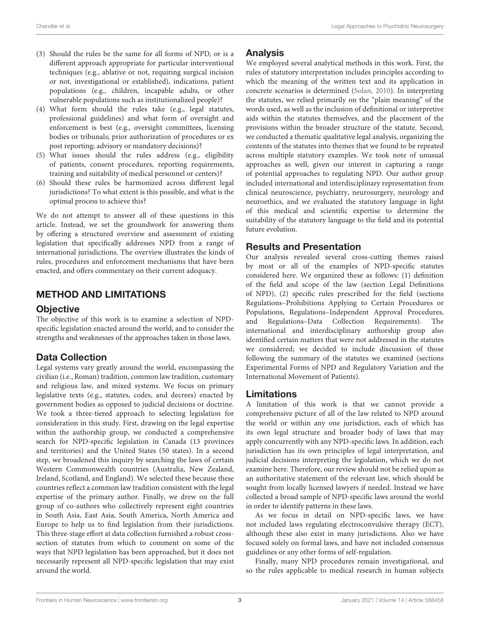- (3) Should the rules be the same for all forms of NPD, or is a different approach appropriate for particular interventional techniques (e.g., ablative or not, requiring surgical incision or not, investigational or established), indications, patient populations (e.g., children, incapable adults, or other vulnerable populations such as institutionalized people)?
- (4) What form should the rules take (e.g., legal statutes, professional guidelines) and what form of oversight and enforcement is best (e.g., oversight committees, licensing bodies or tribunals; prior authorization of procedures or ex post reporting; advisory or mandatory decisions)?
- (5) What issues should the rules address (e.g., eligibility of patients, consent procedures, reporting requirements, training and suitability of medical personnel or centers)?
- (6) Should these rules be harmonized across different legal jurisdictions? To what extent is this possible, and what is the optimal process to achieve this?

We do not attempt to answer all of these questions in this article. Instead, we set the groundwork for answering them by offering a structured overview and assessment of existing legislation that specifically addresses NPD from a range of international jurisdictions. The overview illustrates the kinds of rules, procedures and enforcement mechanisms that have been enacted, and offers commentary on their current adequacy.

# METHOD AND LIMITATIONS

### **Objective**

The objective of this work is to examine a selection of NPDspecific legislation enacted around the world, and to consider the strengths and weaknesses of the approaches taken in those laws.

# Data Collection

Legal systems vary greatly around the world, encompassing the civilian (i.e., Roman) tradition, common law tradition, customary and religious law, and mixed systems. We focus on primary legislative texts (e.g., statutes, codes, and decrees) enacted by government bodies as opposed to judicial decisions or doctrine. We took a three-tiered approach to selecting legislation for consideration in this study. First, drawing on the legal expertise within the authorship group, we conducted a comprehensive search for NPD-specific legislation in Canada (13 provinces and territories) and the United States (50 states). In a second step, we broadened this inquiry by searching the laws of certain Western Commonwealth countries (Australia, New Zealand, Ireland, Scotland, and England). We selected these because these countries reflect a common law tradition consistent with the legal expertise of the primary author. Finally, we drew on the full group of co-authors who collectively represent eight countries in South Asia, East Asia, South America, North America and Europe to help us to find legislation from their jurisdictions. This three-stage effort at data collection furnished a robust crosssection of statutes from which to comment on some of the ways that NPD legislation has been approached, but it does not necessarily represent all NPD-specific legislation that may exist around the world.

### Analysis

We employed several analytical methods in this work. First, the rules of statutory interpretation includes principles according to which the meaning of the written text and its application in concrete scenarios is determined [\(Solan, 2010\)](#page-18-9). In interpreting the statutes, we relied primarily on the "plain meaning" of the words used, as well as the inclusion of definitional or interpretive aids within the statutes themselves, and the placement of the provisions within the broader structure of the statute. Second, we conducted a thematic qualitative legal analysis, organizing the contents of the statutes into themes that we found to be repeated across multiple statutory examples. We took note of unusual approaches as well, given our interest in capturing a range of potential approaches to regulating NPD. Our author group included international and interdisciplinary representation from clinical neuroscience, psychiatry, neurosurgery, neurology and neuroethics, and we evaluated the statutory language in light of this medical and scientific expertise to determine the suitability of the statutory language to the field and its potential future evolution.

### Results and Presentation

Our analysis revealed several cross-cutting themes raised by most or all of the examples of NPD-specific statutes considered here. We organized these as follows: (1) definition of the field and scope of the law (section Legal Definitions of NPD), (2) specific rules prescribed for the field (sections Regulations–Prohibitions Applying to Certain Procedures or Populations, Regulations–Independent Approval Procedures, and Regulations–Data Collection Requirements). The international and interdisciplinary authorship group also identified certain matters that were not addressed in the statutes we considered; we decided to include discussion of those following the summary of the statutes we examined (sections Experimental Forms of NPD and Regulatory Variation and the International Movement of Patients).

### **Limitations**

A limitation of this work is that we cannot provide a comprehensive picture of all of the law related to NPD around the world or within any one jurisdiction, each of which has its own legal structure and broader body of laws that may apply concurrently with any NPD-specific laws. In addition, each jurisdiction has its own principles of legal interpretation, and judicial decisions interpreting the legislation, which we do not examine here. Therefore, our review should not be relied upon as an authoritative statement of the relevant law, which should be sought from locally licensed lawyers if needed. Instead we have collected a broad sample of NPD-specific laws around the world in order to identify patterns in these laws.

As we focus in detail on NPD-specific laws, we have not included laws regulating electroconvulsive therapy (ECT), although these also exist in many jurisdictions. Also we have focused solely on formal laws, and have not included consensus guidelines or any other forms of self-regulation.

Finally, many NPD procedures remain investigational, and so the rules applicable to medical research in human subjects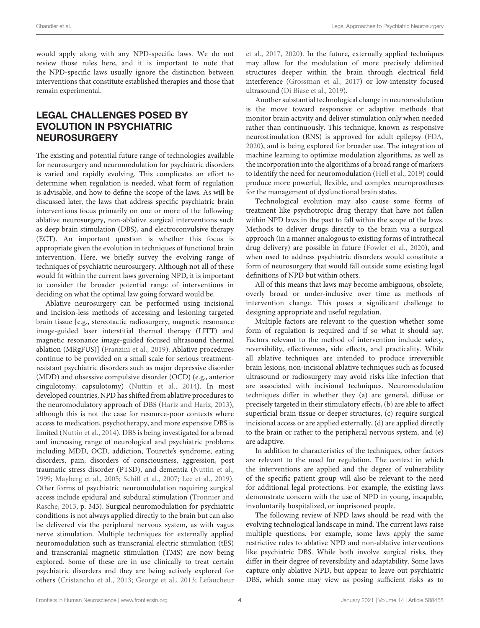would apply along with any NPD-specific laws. We do not review those rules here, and it is important to note that the NPD-specific laws usually ignore the distinction between interventions that constitute established therapies and those that remain experimental.

# LEGAL CHALLENGES POSED BY EVOLUTION IN PSYCHIATRIC **NEUROSURGERY**

The existing and potential future range of technologies available for neurosurgery and neuromodulation for psychiatric disorders is varied and rapidly evolving. This complicates an effort to determine when regulation is needed, what form of regulation is advisable, and how to define the scope of the laws. As will be discussed later, the laws that address specific psychiatric brain interventions focus primarily on one or more of the following: ablative neurosurgery, non-ablative surgical interventions such as deep brain stimulation (DBS), and electroconvulsive therapy (ECT). An important question is whether this focus is appropriate given the evolution in techniques of functional brain intervention. Here, we briefly survey the evolving range of techniques of psychiatric neurosurgery. Although not all of these would fit within the current laws governing NPD, it is important to consider the broader potential range of interventions in deciding on what the optimal law going forward would be.

Ablative neurosurgery can be performed using incisional and incision-less methods of accessing and lesioning targeted brain tissue [e.g., stereotactic radiosurgery, magnetic resonance image-guided laser interstitial thermal therapy (LITT) and magnetic resonance image-guided focused ultrasound thermal ablation (MRgFUS)] [\(Franzini et al., 2019\)](#page-17-7). Ablative procedures continue to be provided on a small scale for serious treatmentresistant psychiatric disorders such as major depressive disorder (MDD) and obsessive compulsive disorder (OCD) (e.g., anterior cingulotomy, capsulotomy) [\(Nuttin et al., 2014\)](#page-18-7). In most developed countries, NPD has shifted from ablative procedures to the neuromodulatory approach of DBS [\(Hariz and Hariz, 2013\)](#page-18-10), although this is not the case for resource-poor contexts where access to medication, psychotherapy, and more expensive DBS is limited [\(Nuttin et al., 2014\)](#page-18-7). DBS is being investigated for a broad and increasing range of neurological and psychiatric problems including MDD, OCD, addiction, Tourette's syndrome, eating disorders, pain, disorders of consciousness, aggression, post traumatic stress disorder (PTSD), and dementia [\(Nuttin et al.,](#page-18-11) [1999;](#page-18-11) [Mayberg et al., 2005;](#page-18-12) [Schiff et al., 2007;](#page-18-13) [Lee et al., 2019\)](#page-18-14). Other forms of psychiatric neuromodulation requiring surgical access include epidural and subdural stimulation (Tronnier and Rasche, [2013,](#page-18-15) p. 343). Surgical neuromodulation for [psychiatric](#page-18-16) conditions is not always applied directly to the brain but can also be delivered via the peripheral nervous system, as with vagus nerve stimulation. Multiple techniques for externally applied neuromodulation such as transcranial electric stimulation (tES) and transcranial magnetic stimulation (TMS) are now being explored. Some of these are in use clinically to treat certain psychiatric disorders and they are being actively explored for others [\(Cristancho et al., 2013;](#page-17-8) [George et al., 2013;](#page-17-9) Lefaucheur et al., [2017,](#page-18-16) [2020\)](#page-18-17). In the future, externally applied techniques may allow for the modulation of more precisely delimited structures deeper within the brain through electrical field interference [\(Grossman et al., 2017\)](#page-18-18) or low-intensity focused ultrasound [\(Di Biase et al., 2019\)](#page-17-10).

Another substantial technological change in neuromodulation is the move toward responsive or adaptive methods that monitor brain activity and deliver stimulation only when needed rather than continuously. This technique, known as responsive neurostimulation (RNS) is approved for adult epilepsy [\(FDA,](#page-17-11) [2020\)](#page-17-11), and is being explored for broader use. The integration of machine learning to optimize modulation algorithms, as well as the incorporation into the algorithms of a broad range of markers to identify the need for neuromodulation [\(Hell et al., 2019\)](#page-18-19) could produce more powerful, flexible, and complex neuroprostheses for the management of dysfunctional brain states.

Technological evolution may also cause some forms of treatment like psychotropic drug therapy that have not fallen within NPD laws in the past to fall within the scope of the laws. Methods to deliver drugs directly to the brain via a surgical approach (in a manner analogous to existing forms of intrathecal drug delivery) are possible in future [\(Fowler et al., 2020\)](#page-17-12), and when used to address psychiatric disorders would constitute a form of neurosurgery that would fall outside some existing legal definitions of NPD but within others.

All of this means that laws may become ambiguous, obsolete, overly broad or under-inclusive over time as methods of intervention change. This poses a significant challenge to designing appropriate and useful regulation.

Multiple factors are relevant to the question whether some form of regulation is required and if so what it should say. Factors relevant to the method of intervention include safety, reversibility, effectiveness, side effects, and practicality. While all ablative techniques are intended to produce irreversible brain lesions, non-incisional ablative techniques such as focused ultrasound or radiosurgery may avoid risks like infection that are associated with incisional techniques. Neuromodulation techniques differ in whether they (a) are general, diffuse or precisely targeted in their stimulatory effects, (b) are able to affect superficial brain tissue or deeper structures, (c) require surgical incisional access or are applied externally, (d) are applied directly to the brain or rather to the peripheral nervous system, and (e) are adaptive.

In addition to characteristics of the techniques, other factors are relevant to the need for regulation. The context in which the interventions are applied and the degree of vulnerability of the specific patient group will also be relevant to the need for additional legal protections. For example, the existing laws demonstrate concern with the use of NPD in young, incapable, involuntarily hospitalized, or imprisoned people.

The following review of NPD laws should be read with the evolving technological landscape in mind. The current laws raise multiple questions. For example, some laws apply the same restrictive rules to ablative NPD and non-ablative interventions like psychiatric DBS. While both involve surgical risks, they differ in their degree of reversibility and adaptability. Some laws capture only ablative NPD, but appear to leave out psychiatric DBS, which some may view as posing sufficient risks as to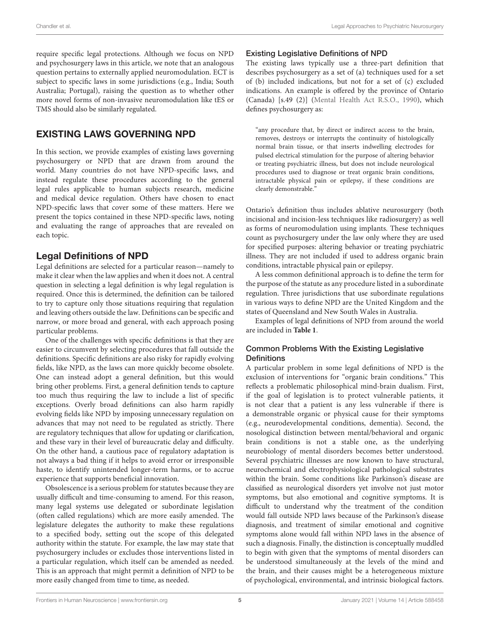require specific legal protections. Although we focus on NPD and psychosurgery laws in this article, we note that an analogous question pertains to externally applied neuromodulation. ECT is subject to specific laws in some jurisdictions (e.g., India; South Australia; Portugal), raising the question as to whether other more novel forms of non-invasive neuromodulation like tES or TMS should also be similarly regulated.

# EXISTING LAWS GOVERNING NPD

In this section, we provide examples of existing laws governing psychosurgery or NPD that are drawn from around the world. Many countries do not have NPD-specific laws, and instead regulate these procedures according to the general legal rules applicable to human subjects research, medicine and medical device regulation. Others have chosen to enact NPD-specific laws that cover some of these matters. Here we present the topics contained in these NPD-specific laws, noting and evaluating the range of approaches that are revealed on each topic.

### Legal Definitions of NPD

Legal definitions are selected for a particular reason—namely to make it clear when the law applies and when it does not. A central question in selecting a legal definition is why legal regulation is required. Once this is determined, the definition can be tailored to try to capture only those situations requiring that regulation and leaving others outside the law. Definitions can be specific and narrow, or more broad and general, with each approach posing particular problems.

One of the challenges with specific definitions is that they are easier to circumvent by selecting procedures that fall outside the definitions. Specific definitions are also risky for rapidly evolving fields, like NPD, as the laws can more quickly become obsolete. One can instead adopt a general definition, but this would bring other problems. First, a general definition tends to capture too much thus requiring the law to include a list of specific exceptions. Overly broad definitions can also harm rapidly evolving fields like NPD by imposing unnecessary regulation on advances that may not need to be regulated as strictly. There are regulatory techniques that allow for updating or clarification, and these vary in their level of bureaucratic delay and difficulty. On the other hand, a cautious pace of regulatory adaptation is not always a bad thing if it helps to avoid error or irresponsible haste, to identify unintended longer-term harms, or to accrue experience that supports beneficial innovation.

Obsolescence is a serious problem for statutes because they are usually difficult and time-consuming to amend. For this reason, many legal systems use delegated or subordinate legislation (often called regulations) which are more easily amended. The legislature delegates the authority to make these regulations to a specified body, setting out the scope of this delegated authority within the statute. For example, the law may state that psychosurgery includes or excludes those interventions listed in a particular regulation, which itself can be amended as needed. This is an approach that might permit a definition of NPD to be more easily changed from time to time, as needed.

### Existing Legislative Definitions of NPD

The existing laws typically use a three-part definition that describes psychosurgery as a set of (a) techniques used for a set of (b) included indications, but not for a set of (c) excluded indications. An example is offered by the province of Ontario (Canada) [s.49 (2)] [\(Mental Health Act R.S.O., 1990\)](#page-18-20), which defines psychosurgery as:

"any procedure that, by direct or indirect access to the brain, removes, destroys or interrupts the continuity of histologically normal brain tissue, or that inserts indwelling electrodes for pulsed electrical stimulation for the purpose of altering behavior or treating psychiatric illness, but does not include neurological procedures used to diagnose or treat organic brain conditions, intractable physical pain or epilepsy, if these conditions are clearly demonstrable."

Ontario's definition thus includes ablative neurosurgery (both incisional and incision-less techniques like radiosurgery) as well as forms of neuromodulation using implants. These techniques count as psychosurgery under the law only where they are used for specified purposes: altering behavior or treating psychiatric illness. They are not included if used to address organic brain conditions, intractable physical pain or epilepsy.

A less common definitional approach is to define the term for the purpose of the statute as any procedure listed in a subordinate regulation. Three jurisdictions that use subordinate regulations in various ways to define NPD are the United Kingdom and the states of Queensland and New South Wales in Australia.

Examples of legal definitions of NPD from around the world are included in **[Table 1](#page-5-0)**.

### Common Problems With the Existing Legislative **Definitions**

A particular problem in some legal definitions of NPD is the exclusion of interventions for "organic brain conditions." This reflects a problematic philosophical mind-brain dualism. First, if the goal of legislation is to protect vulnerable patients, it is not clear that a patient is any less vulnerable if there is a demonstrable organic or physical cause for their symptoms (e.g., neurodevelopmental conditions, dementia). Second, the nosological distinction between mental/behavioral and organic brain conditions is not a stable one, as the underlying neurobiology of mental disorders becomes better understood. Several psychiatric illnesses are now known to have structural, neurochemical and electrophysiological pathological substrates within the brain. Some conditions like Parkinson's disease are classified as neurological disorders yet involve not just motor symptoms, but also emotional and cognitive symptoms. It is difficult to understand why the treatment of the condition would fall outside NPD laws because of the Parkinson's disease diagnosis, and treatment of similar emotional and cognitive symptoms alone would fall within NPD laws in the absence of such a diagnosis. Finally, the distinction is conceptually muddled to begin with given that the symptoms of mental disorders can be understood simultaneously at the levels of the mind and the brain, and their causes might be a heterogeneous mixture of psychological, environmental, and intrinsic biological factors.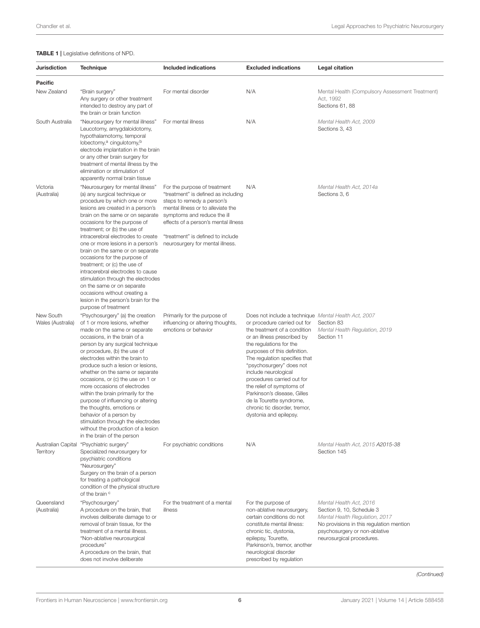### <span id="page-5-0"></span>TABLE 1 | Legislative definitions of NPD.

| Jurisdiction                   | <b>Technique</b>                                                                                                                                                                                                                                                                                                                                                                                                                                                                                                                                                                                                                      | <b>Included indications</b>                                                                                                                                                                                                                                                             | <b>Excluded indications</b>                                                                                                                                                                                                                                                                                                                                                                                                                                                          | Legal citation                                                                                                                                                                                   |
|--------------------------------|---------------------------------------------------------------------------------------------------------------------------------------------------------------------------------------------------------------------------------------------------------------------------------------------------------------------------------------------------------------------------------------------------------------------------------------------------------------------------------------------------------------------------------------------------------------------------------------------------------------------------------------|-----------------------------------------------------------------------------------------------------------------------------------------------------------------------------------------------------------------------------------------------------------------------------------------|--------------------------------------------------------------------------------------------------------------------------------------------------------------------------------------------------------------------------------------------------------------------------------------------------------------------------------------------------------------------------------------------------------------------------------------------------------------------------------------|--------------------------------------------------------------------------------------------------------------------------------------------------------------------------------------------------|
| <b>Pacific</b>                 |                                                                                                                                                                                                                                                                                                                                                                                                                                                                                                                                                                                                                                       |                                                                                                                                                                                                                                                                                         |                                                                                                                                                                                                                                                                                                                                                                                                                                                                                      |                                                                                                                                                                                                  |
| New Zealand                    | "Brain surgery"<br>Any surgery or other treatment<br>intended to destroy any part of<br>the brain or brain function                                                                                                                                                                                                                                                                                                                                                                                                                                                                                                                   | For mental disorder                                                                                                                                                                                                                                                                     | N/A                                                                                                                                                                                                                                                                                                                                                                                                                                                                                  | Mental Health (Compulsory Assessment Treatment)<br>Act, 1992<br>Sections 61, 88                                                                                                                  |
| South Australia                | "Neurosurgery for mental illness"<br>Leucotomy, amygdaloidotomy,<br>hypothalamotomy, temporal<br>lobectomy, <sup>a</sup> cingulotomy, <sup>b</sup><br>electrode implantation in the brain<br>or any other brain surgery for<br>treatment of mental illness by the<br>elimination or stimulation of<br>apparently normal brain tissue                                                                                                                                                                                                                                                                                                  | For mental illness                                                                                                                                                                                                                                                                      | N/A                                                                                                                                                                                                                                                                                                                                                                                                                                                                                  | Mental Health Act, 2009<br>Sections 3, 43                                                                                                                                                        |
| Victoria<br>(Australia)        | "Neurosurgery for mental illness"<br>(a) any surgical technique or<br>procedure by which one or more<br>lesions are created in a person's<br>brain on the same or on separate<br>occasions for the purpose of<br>treatment; or (b) the use of<br>intracerebral electrodes to create<br>one or more lesions in a person's<br>brain on the same or on separate<br>occasions for the purpose of<br>treatment; or (c) the use of<br>intracerebral electrodes to cause<br>stimulation through the electrodes<br>on the same or on separate<br>occasions without creating a<br>lesion in the person's brain for the<br>purpose of treatment | For the purpose of treatment<br>"treatment" is defined as including<br>steps to remedy a person's<br>mental illness or to alleviate the<br>symptoms and reduce the ill<br>effects of a person's mental illness<br>"treatment" is defined to include<br>neurosurgery for mental illness. | N/A                                                                                                                                                                                                                                                                                                                                                                                                                                                                                  | Mental Health Act, 2014a<br>Sections 3, 6                                                                                                                                                        |
| New South<br>Wales (Australia) | "Psychosurgery" (a) the creation<br>of 1 or more lesions, whether<br>made on the same or separate<br>occasions, in the brain of a<br>person by any surgical technique<br>or procedure, (b) the use of<br>electrodes within the brain to<br>produce such a lesion or lesions,<br>whether on the same or separate<br>occasions, or (c) the use on 1 or<br>more occasions of electrodes<br>within the brain primarily for the<br>purpose of influencing or altering<br>the thoughts, emotions or<br>behavior of a person by<br>stimulation through the electrodes<br>without the production of a lesion<br>in the brain of the person    | Primarily for the purpose of<br>influencing or altering thoughts,<br>emotions or behavior                                                                                                                                                                                               | Does not include a technique Mental Health Act, 2007<br>or procedure carried out for<br>the treatment of a condition<br>or an illness prescribed by<br>the regulations for the<br>purposes of this definition.<br>The regulation specifies that<br>"psychosurgery" does not<br>include neurological<br>procedures carried out for<br>the relief of symptoms of<br>Parkinson's disease, Gilles<br>de la Tourette syndrome,<br>chronic tic disorder, tremor,<br>dystonia and epilepsy. | Section 83<br>Mental Health Regulation, 2019<br>Section 11                                                                                                                                       |
| <b>Territory</b>               | Australian Capital "Psychiatric surgery"<br>Specialized neurosurgery for<br>psychiatric conditions<br>"Neurosurgery"<br>Surgery on the brain of a person<br>for treating a pathological<br>condition of the physical structure<br>of the brain <sup>c</sup>                                                                                                                                                                                                                                                                                                                                                                           | For psychiatric conditions                                                                                                                                                                                                                                                              | N/A                                                                                                                                                                                                                                                                                                                                                                                                                                                                                  | Mental Health Act, 2015 A2015-38<br>Section 145                                                                                                                                                  |
| Queensland<br>(Australia)      | "Psychosurgery"<br>A procedure on the brain, that<br>involves deliberate damage to or<br>removal of brain tissue, for the<br>treatment of a mental illness.<br>"Non-ablative neurosurgical<br>procedure"<br>A procedure on the brain, that<br>does not involve deliberate                                                                                                                                                                                                                                                                                                                                                             | For the treatment of a mental<br>illness                                                                                                                                                                                                                                                | For the purpose of<br>non-ablative neurosurgery,<br>certain conditions do not<br>constitute mental illness:<br>chronic tic, dystonia,<br>epilepsy, Tourette,<br>Parkinson's, tremor, another<br>neurological disorder<br>prescribed by regulation                                                                                                                                                                                                                                    | Mental Health Act, 2016<br>Section 9, 10, Schedule 3<br>Mental Health Regulation, 2017<br>No provisions in this regulation mention<br>psychosurgery or non-ablative<br>neurosurgical procedures. |

(Continued)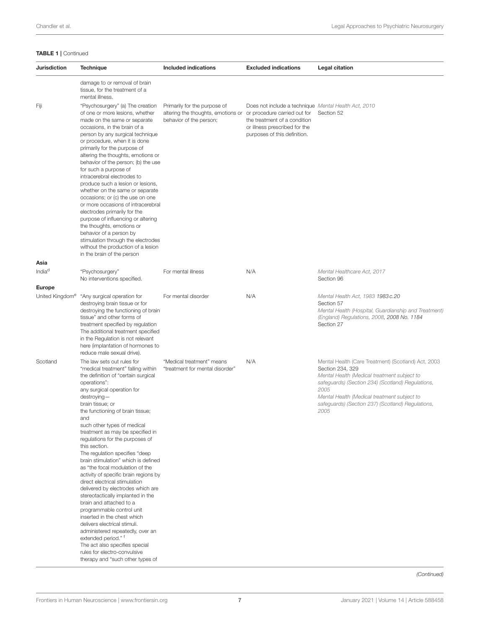### TABLE 1 | Continued

| Jurisdiction                | <b>Technique</b>                                                                                                                                                                                                                                                                                                                                                                                                                                                                                                                                                                                                                                                                                                                                                                                                                                                                                                                 | Included indications                                                                                                       | <b>Excluded indications</b>                                                                                                                           | Legal citation                                                                                                                                                                                                                                                                                  |
|-----------------------------|----------------------------------------------------------------------------------------------------------------------------------------------------------------------------------------------------------------------------------------------------------------------------------------------------------------------------------------------------------------------------------------------------------------------------------------------------------------------------------------------------------------------------------------------------------------------------------------------------------------------------------------------------------------------------------------------------------------------------------------------------------------------------------------------------------------------------------------------------------------------------------------------------------------------------------|----------------------------------------------------------------------------------------------------------------------------|-------------------------------------------------------------------------------------------------------------------------------------------------------|-------------------------------------------------------------------------------------------------------------------------------------------------------------------------------------------------------------------------------------------------------------------------------------------------|
|                             | damage to or removal of brain<br>tissue, for the treatment of a<br>mental illness.                                                                                                                                                                                                                                                                                                                                                                                                                                                                                                                                                                                                                                                                                                                                                                                                                                               |                                                                                                                            |                                                                                                                                                       |                                                                                                                                                                                                                                                                                                 |
| Fiji                        | "Psychosurgery" (a) The creation<br>of one or more lesions, whether<br>made on the same or separate<br>occasions, in the brain of a<br>person by any surgical technique<br>or procedure, when it is done<br>primarily for the purpose of<br>altering the thoughts, emotions or<br>behavior of the person; (b) the use<br>for such a purpose of<br>intracerebral electrodes to<br>produce such a lesion or lesions,<br>whether on the same or separate<br>occasions; or (c) the use on one<br>or more occasions of intracerebral<br>electrodes primarily for the<br>purpose of influencing or altering<br>the thoughts, emotions or<br>behavior of a person by<br>stimulation through the electrodes<br>without the production of a lesion<br>in the brain of the person                                                                                                                                                          | Primarily for the purpose of<br>altering the thoughts, emotions or or procedure carried out for<br>behavior of the person; | Does not include a technique Mental Health Act, 2010<br>the treatment of a condition<br>or illness prescribed for the<br>purposes of this definition. | Section 52                                                                                                                                                                                                                                                                                      |
| Asia                        |                                                                                                                                                                                                                                                                                                                                                                                                                                                                                                                                                                                                                                                                                                                                                                                                                                                                                                                                  |                                                                                                                            |                                                                                                                                                       |                                                                                                                                                                                                                                                                                                 |
| India <sup>d</sup>          | "Psychosurgery"<br>No interventions specified.                                                                                                                                                                                                                                                                                                                                                                                                                                                                                                                                                                                                                                                                                                                                                                                                                                                                                   | For mental illness                                                                                                         | N/A                                                                                                                                                   | Mental Healthcare Act, 2017<br>Section 96                                                                                                                                                                                                                                                       |
| Europe                      |                                                                                                                                                                                                                                                                                                                                                                                                                                                                                                                                                                                                                                                                                                                                                                                                                                                                                                                                  |                                                                                                                            |                                                                                                                                                       |                                                                                                                                                                                                                                                                                                 |
| United Kingdom <sup>e</sup> | "Any surgical operation for<br>destroying brain tissue or for<br>destroying the functioning of brain<br>tissue" and other forms of<br>treatment specified by regulation<br>The additional treatment specified<br>in the Regulation is not relevant<br>here (implantation of hormones to<br>reduce male sexual drive).                                                                                                                                                                                                                                                                                                                                                                                                                                                                                                                                                                                                            | For mental disorder                                                                                                        | N/A                                                                                                                                                   | Mental Health Act, 1983 1983 c.20<br>Section 57<br>Mental Health (Hospital, Guardianship and Treatment)<br>(England) Regulations, 2008, 2008 No. 1184<br>Section 27                                                                                                                             |
| Scotland                    | The law sets out rules for<br>"medical treatment" falling within<br>the definition of "certain surgical<br>operations":<br>any surgical operation for<br>$d$ estroying-<br>brain tissue; or<br>the functioning of brain tissue;<br>and<br>such other types of medical<br>treatment as may be specified in<br>regulations for the purposes of<br>this section.<br>The regulation specifies "deep<br>brain stimulation" which is defined<br>as "the focal modulation of the<br>activity of specific brain regions by<br>direct electrical stimulation<br>delivered by electrodes which are<br>stereotactically implanted in the<br>brain and attached to a<br>programmable control unit<br>inserted in the chest which<br>delivers electrical stimuli.<br>administered repeatedly, over an<br>extended period." <sup>1</sup><br>The act also specifies special<br>rules for electro-convulsive<br>therapy and "such other types of | "Medical treatment" means<br>"treatment for mental disorder"                                                               | N/A                                                                                                                                                   | Mental Health (Care Treatment) (Scotland) Act, 2003<br>Section 234, 329<br>Mental Health (Medical treatment subject to<br>safeguards) (Section 234) (Scotland) Regulations,<br>2005<br>Mental Health (Medical treatment subject to<br>safeguards) (Section 237) (Scotland) Regulations,<br>2005 |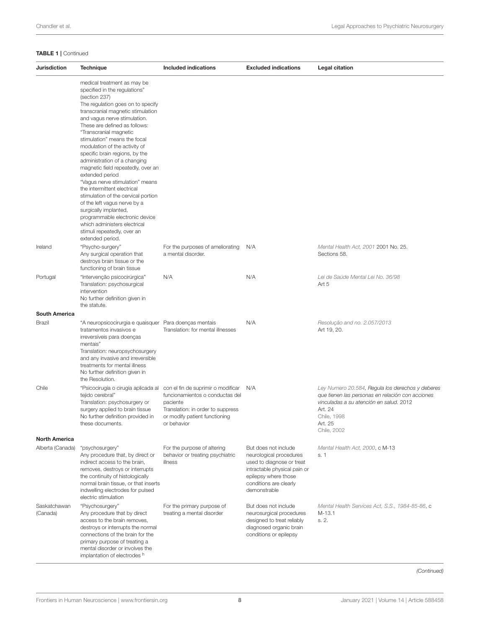### TABLE 1 | Continued

| <b>Jurisdiction</b>      | <b>Technique</b>                                                                                                                                                                                                                                                                                                                                                                                                                                                                                                                                                                                                                                                                                                                      | Included indications                                                                                                             | <b>Excluded indications</b>                                                                                                                                                    | Legal citation                                                                                                                                                                                      |
|--------------------------|---------------------------------------------------------------------------------------------------------------------------------------------------------------------------------------------------------------------------------------------------------------------------------------------------------------------------------------------------------------------------------------------------------------------------------------------------------------------------------------------------------------------------------------------------------------------------------------------------------------------------------------------------------------------------------------------------------------------------------------|----------------------------------------------------------------------------------------------------------------------------------|--------------------------------------------------------------------------------------------------------------------------------------------------------------------------------|-----------------------------------------------------------------------------------------------------------------------------------------------------------------------------------------------------|
|                          | medical treatment as may be<br>specified in the regulations"<br>(section 237)<br>The regulation goes on to specify<br>transcranial magnetic stimulation<br>and vagus nerve stimulation.<br>These are defined as follows:<br>"Transcranial magnetic<br>stimulation" means the focal<br>modulation of the activity of<br>specific brain regions, by the<br>administration of a changing<br>magnetic field repeatedly, over an<br>extended period<br>"Vagus nerve stimulation" means<br>the intermittent electrical<br>stimulation of the cervical portion<br>of the left vagus nerve by a<br>surgically implanted,<br>programmable electronic device<br>which administers electrical<br>stimuli repeatedly, over an<br>extended period. |                                                                                                                                  |                                                                                                                                                                                |                                                                                                                                                                                                     |
| Ireland                  | "Psycho-surgery"<br>Any surgical operation that<br>destroys brain tissue or the<br>functioning of brain tissue                                                                                                                                                                                                                                                                                                                                                                                                                                                                                                                                                                                                                        | For the purposes of ameliorating<br>a mental disorder.                                                                           | N/A                                                                                                                                                                            | Mental Health Act, 2001 2001 No. 25.<br>Sections 58.                                                                                                                                                |
| Portugal                 | "Intervenção psicocirúrgica"<br>Translation: psychosurgical<br>intervention<br>No further definition given in<br>the statute.                                                                                                                                                                                                                                                                                                                                                                                                                                                                                                                                                                                                         | N/A                                                                                                                              | N/A                                                                                                                                                                            | Lei de Saúde Mental Lei No. 36/98<br>Art 5                                                                                                                                                          |
| <b>South America</b>     |                                                                                                                                                                                                                                                                                                                                                                                                                                                                                                                                                                                                                                                                                                                                       |                                                                                                                                  |                                                                                                                                                                                |                                                                                                                                                                                                     |
| Brazil                   | "A neuropsicocirurgia e quaisquer Para doenças mentais<br>tratamentos invasivos e<br>irreversíveis para doenças<br>mentais"<br>Translation: neuropsychosurgery<br>and any invasive and irreversible<br>treatments for mental illness<br>No further definition given in<br>the Resolution.                                                                                                                                                                                                                                                                                                                                                                                                                                             | Translation: for mental illnesses                                                                                                | N/A                                                                                                                                                                            | Resolução and no. 2.057/2013<br>Art 19, 20.                                                                                                                                                         |
| Chile                    | "Psicocirugía o cirugía aplicada al con el fin de suprimir o modificar<br>tejido cerebral"<br>Translation: psychosurgery or<br>surgery applied to brain tissue<br>No further definition provided in<br>these documents.                                                                                                                                                                                                                                                                                                                                                                                                                                                                                                               | funcionamientos o conductas del<br>paciente<br>Translation: in order to suppress<br>or modify patient functioning<br>or behavior | N/A                                                                                                                                                                            | Ley Numero 20.584, Regula los derechos y deberes<br>que tienen las personas en relación con acciones<br>vinculadas a su atención en salud. 2012<br>Art. 24<br>Chile, 1998<br>Art. 25<br>Chile, 2002 |
| <b>North America</b>     |                                                                                                                                                                                                                                                                                                                                                                                                                                                                                                                                                                                                                                                                                                                                       |                                                                                                                                  |                                                                                                                                                                                |                                                                                                                                                                                                     |
| Alberta (Canada)         | "psychosurgery"<br>Any procedure that, by direct or<br>indirect access to the brain.<br>removes, destroys or interrupts<br>the continuity of histologically<br>normal brain tissue, or that inserts<br>indwelling electrodes for pulsed<br>electric stimulation                                                                                                                                                                                                                                                                                                                                                                                                                                                                       | For the purpose of altering<br>behavior or treating psychiatric<br>illness                                                       | But does not include<br>neurological procedures<br>used to diagnose or treat<br>intractable physical pain or<br>epilepsy where those<br>conditions are clearly<br>demonstrable | Mental Health Act, 2000, c M-13<br>s. 1                                                                                                                                                             |
| Saskatchawan<br>(Canada) | "Psychosurgery"<br>Any procedure that by direct<br>access to the brain removes,<br>destroys or interrupts the normal<br>connections of the brain for the<br>primary purpose of treating a<br>mental disorder or involves the<br>implantation of electrodes <sup>h</sup>                                                                                                                                                                                                                                                                                                                                                                                                                                                               | For the primary purpose of<br>treating a mental disorder                                                                         | But does not include<br>neurosurgical procedures<br>designed to treat reliably<br>diagnosed organic brain<br>conditions or epilepsy                                            | Mental Health Services Act, S.S., 1984-85-86, c<br>M-13.1<br>s. 2.                                                                                                                                  |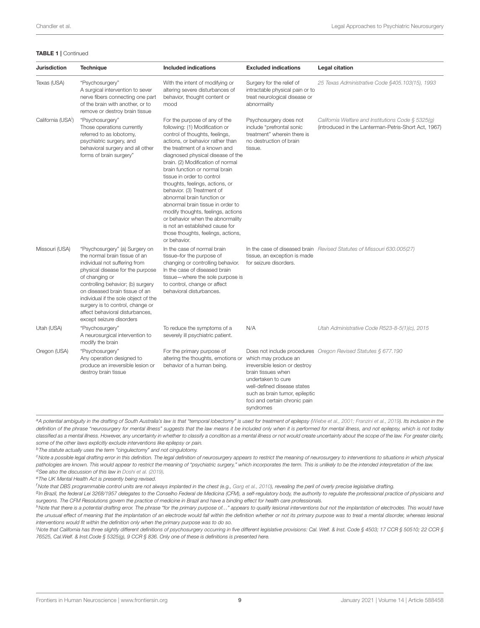#### TABLE 1 | Continued

| Jurisdiction                   | <b>Technique</b>                                                                                                                                                                                                                                                                                                                                                         | Included indications                                                                                                                                                                                                                                                                                                                                                                                                                                                                                                                                                                                                   | <b>Excluded indications</b>                                                                                                                                                                                       | <b>Legal citation</b>                                                                                      |
|--------------------------------|--------------------------------------------------------------------------------------------------------------------------------------------------------------------------------------------------------------------------------------------------------------------------------------------------------------------------------------------------------------------------|------------------------------------------------------------------------------------------------------------------------------------------------------------------------------------------------------------------------------------------------------------------------------------------------------------------------------------------------------------------------------------------------------------------------------------------------------------------------------------------------------------------------------------------------------------------------------------------------------------------------|-------------------------------------------------------------------------------------------------------------------------------------------------------------------------------------------------------------------|------------------------------------------------------------------------------------------------------------|
| Texas (USA)                    | "Psychosurgery"<br>A surgical intervention to sever<br>nerve fibers connecting one part<br>of the brain with another, or to<br>remove or destroy brain tissue                                                                                                                                                                                                            | With the intent of modifying or<br>altering severe disturbances of<br>behavior, thought content or<br>mood                                                                                                                                                                                                                                                                                                                                                                                                                                                                                                             | Surgery for the relief of<br>intractable physical pain or to<br>treat neurological disease or<br>abnormality                                                                                                      | 25 Texas Administrative Code §405.103(15), 1993                                                            |
| California (USA <sup>1</sup> ) | "Psychosurgery"<br>Those operations currently<br>referred to as lobotomy,<br>psychiatric surgery, and<br>behavioral surgery and all other<br>forms of brain surgery"                                                                                                                                                                                                     | For the purpose of any of the<br>following: (1) Modification or<br>control of thoughts, feelings,<br>actions, or behavior rather than<br>the treatment of a known and<br>diagnosed physical disease of the<br>brain. (2) Modification of normal<br>brain function or normal brain<br>tissue in order to control<br>thoughts, feelings, actions, or<br>behavior. (3) Treatment of<br>abnormal brain function or<br>abnormal brain tissue in order to<br>modify thoughts, feelings, actions<br>or behavior when the abnormality<br>is not an established cause for<br>those thoughts, feelings, actions,<br>or behavior. | Psychosurgery does not<br>include "prefrontal sonic<br>treatment" wherein there is<br>no destruction of brain<br>tissue.                                                                                          | California Welfare and Institutions Code § 5325(g)<br>(introduced in the Lanterman-Petris-Short Act, 1967) |
| Missouri (USA)                 | "Psychosurgery" (a) Surgery on<br>the normal brain tissue of an<br>individual not suffering from<br>physical disease for the purpose<br>of changing or<br>controlling behavior; (b) surgery<br>on diseased brain tissue of an<br>individual if the sole object of the<br>surgery is to control, change or<br>affect behavioral disturbances,<br>except seizure disorders | In the case of normal brain<br>tissue-for the purpose of<br>changing or controlling behavior.<br>In the case of diseased brain<br>tissue-where the sole purpose is<br>to control, change or affect<br>behavioral disturbances.                                                                                                                                                                                                                                                                                                                                                                                         | tissue, an exception is made<br>for seizure disorders.                                                                                                                                                            | In the case of diseased brain Revised Statutes of Missouri 630.005(27)                                     |
| Utah (USA)                     | "Psychosurgery"<br>A neurosurgical intervention to<br>modify the brain                                                                                                                                                                                                                                                                                                   | To reduce the symptoms of a<br>severely ill psychiatric patient.                                                                                                                                                                                                                                                                                                                                                                                                                                                                                                                                                       | N/A                                                                                                                                                                                                               | Utah Administrative Code R523-8-5(1)(c), 2015                                                              |
| Oregon (USA)                   | "Psychosurgery"<br>Any operation designed to<br>produce an irreversible lesion or<br>destroy brain tissue                                                                                                                                                                                                                                                                | For the primary purpose of<br>altering the thoughts, emotions or<br>behavior of a human being.                                                                                                                                                                                                                                                                                                                                                                                                                                                                                                                         | which may produce an<br>irreversible lesion or destroy<br>brain tissues when<br>undertaken to cure<br>well-defined disease states<br>such as brain tumor, epileptic<br>foci and certain chronic pain<br>syndromes | Does not include procedures Oregon Revised Statutes § 677.190                                              |

| a A potential ambiquity in the drafting of South Australia's law is that "temporal lobectomy" is used for treatment of epilepsy (Wiebe et al., 2001; Franzini et al., 2019). Its inclusion in the |
|---------------------------------------------------------------------------------------------------------------------------------------------------------------------------------------------------|
| definition of the phrase "neurosurgery for mental illness" suggests that the law means it be included only when it is performed for mental illness, and not epilepsy, which is not today          |
| classified as a mental illness. However, any uncertainty in whether to classify a condition as a mental illness or not would create uncertainty about the scope of the law. For greater clarity,  |
| some of the other laws explicitly exclude interventions like epilepsy or pain.                                                                                                                    |

 $<sup>b</sup>$ The statute actually uses the term "cingulectomy" and not cingulotomy.</sup>

cNote a possible legal drafting error in this definition. The legal definition of neurosurgery appears to restrict the meaning of neurosurgery to interventions to situations in which physical pathologies are known. This would appear to restrict the meaning of "psychiatric surgery," which incorporates the term. This is unlikely to be the intended interpretation of the law.  $d$ See also the discussion of this law in [Doshi et al. \(2019\)](#page-17-4).

eThe UK Mental Health Act is presently being revised.

<sup>f</sup> Note that DBS programmable control units are not always implanted in the chest (e.g., [Garg et al., 2010\)](#page-17-17), revealing the peril of overly precise legislative drafting.

g<br>In Brazil, the federal Lei 3268/1957 delegates to the Conselho Federal de Medicina (CFM), a self-regulatory body, the authority to regulate the professional practice of physicians and surgeons. The CFM Resolutions govern the practice of medicine in Brazil and have a binding effect for health care professionals.

hNote that there is a potential drafting error. The phrase "for the primary purpose of..." appears to qualify lesional interventions but not the implantation of electrodes. This would have the unusual effect of meaning that the implantation of an electrode would fall within the definition whether or not its primary purpose was to treat a mental disorder, whereas lesional interventions would fit within the definition only when the primary purpose was to do so.

<sup>i</sup>Note that California has three slightly different definitions of psychosurgery occurring in five different legislative provisions: Cal. Welf. & Inst. Code § 4503; 17 CCR § 50510; 22 CCR § 76525, Cal.Welf. & Inst.Code § 5325(g), 9 CCR § 836. Only one of these is definitions is presented here.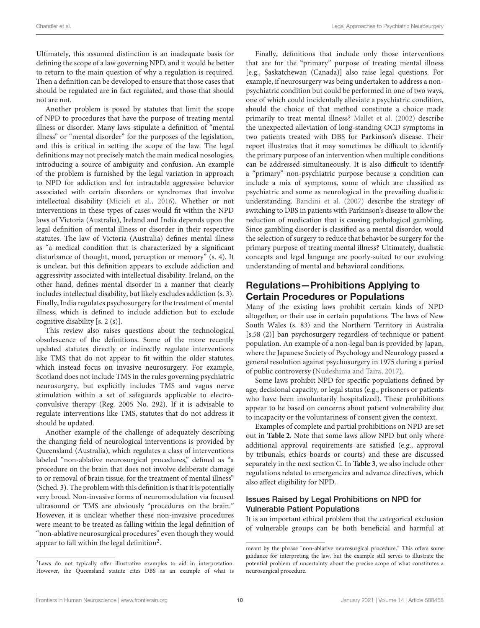Ultimately, this assumed distinction is an inadequate basis for defining the scope of a law governing NPD, and it would be better to return to the main question of why a regulation is required. Then a definition can be developed to ensure that those cases that should be regulated are in fact regulated, and those that should not are not.

Another problem is posed by statutes that limit the scope of NPD to procedures that have the purpose of treating mental illness or disorder. Many laws stipulate a definition of "mental illness" or "mental disorder" for the purposes of the legislation, and this is critical in setting the scope of the law. The legal definitions may not precisely match the main medical nosologies, introducing a source of ambiguity and confusion. An example of the problem is furnished by the legal variation in approach to NPD for addiction and for intractable aggressive behavior associated with certain disorders or syndromes that involve intellectual disability [\(Micieli et al., 2016\)](#page-18-46). Whether or not interventions in these types of cases would fit within the NPD laws of Victoria (Australia), Ireland and India depends upon the legal definition of mental illness or disorder in their respective statutes. The law of Victoria (Australia) defines mental illness as "a medical condition that is characterized by a significant disturbance of thought, mood, perception or memory" (s. 4). It is unclear, but this definition appears to exclude addiction and aggressivity associated with intellectual disability. Ireland, on the other hand, defines mental disorder in a manner that clearly includes intellectual disability, but likely excludes addiction (s. 3). Finally, India regulates psychosurgery for the treatment of mental illness, which is defined to include addiction but to exclude cognitive disability [s. 2 (s)].

This review also raises questions about the technological obsolescence of the definitions. Some of the more recently updated statutes directly or indirectly regulate interventions like TMS that do not appear to fit within the older statutes, which instead focus on invasive neurosurgery. For example, Scotland does not include TMS in the rules governing psychiatric neurosurgery, but explicitly includes TMS and vagus nerve stimulation within a set of safeguards applicable to electroconvulsive therapy (Reg. 2005 No. 292). If it is advisable to regulate interventions like TMS, statutes that do not address it should be updated.

Another example of the challenge of adequately describing the changing field of neurological interventions is provided by Queensland (Australia), which regulates a class of interventions labeled "non-ablative neurosurgical procedures," defined as "a procedure on the brain that does not involve deliberate damage to or removal of brain tissue, for the treatment of mental illness" (Sched. 3). The problem with this definition is that it is potentially very broad. Non-invasive forms of neuromodulation via focused ultrasound or TMS are obviously "procedures on the brain." However, it is unclear whether these non-invasive procedures were meant to be treated as falling within the legal definition of "non-ablative neurosurgical procedures" even though they would appear to fall within the legal definition<sup>[2](#page-9-0)</sup>.

Finally, definitions that include only those interventions that are for the "primary" purpose of treating mental illness [e.g., Saskatchewan (Canada)] also raise legal questions. For example, if neurosurgery was being undertaken to address a nonpsychiatric condition but could be performed in one of two ways, one of which could incidentally alleviate a psychiatric condition, should the choice of that method constitute a choice made primarily to treat mental illness? [Mallet et al. \(2002\)](#page-18-47) describe the unexpected alleviation of long-standing OCD symptoms in two patients treated with DBS for Parkinson's disease. Their report illustrates that it may sometimes be difficult to identify the primary purpose of an intervention when multiple conditions can be addressed simultaneously. It is also difficult to identify a "primary" non-psychiatric purpose because a condition can include a mix of symptoms, some of which are classified as psychiatric and some as neurological in the prevailing dualistic understanding. [Bandini et al. \(2007\)](#page-17-18) describe the strategy of switching to DBS in patients with Parkinson's disease to allow the reduction of medication that is causing pathological gambling. Since gambling disorder is classified as a mental disorder, would the selection of surgery to reduce that behavior be surgery for the primary purpose of treating mental illness? Ultimately, dualistic concepts and legal language are poorly-suited to our evolving understanding of mental and behavioral conditions.

### Regulations—Prohibitions Applying to Certain Procedures or Populations

Many of the existing laws prohibit certain kinds of NPD altogether, or their use in certain populations. The laws of New South Wales (s. 83) and the Northern Territory in Australia [s.58 (2)] ban psychosurgery regardless of technique or patient population. An example of a non-legal ban is provided by Japan, where the Japanese Society of Psychology and Neurology passed a general resolution against psychosurgery in 1975 during a period of public controversy [\(Nudeshima and Taira, 2017\)](#page-18-48).

Some laws prohibit NPD for specific populations defined by age, decisional capacity, or legal status (e.g., prisoners or patients who have been involuntarily hospitalized). These prohibitions appear to be based on concerns about patient vulnerability due to incapacity or the voluntariness of consent given the context.

Examples of complete and partial prohibitions on NPD are set out in **[Table 2](#page-10-0)**. Note that some laws allow NPD but only where additional approval requirements are satisfied (e.g., approval by tribunals, ethics boards or courts) and these are discussed separately in the next section C. In **[Table 3](#page-12-0)**, we also include other regulations related to emergencies and advance directives, which also affect eligibility for NPD.

### Issues Raised by Legal Prohibitions on NPD for Vulnerable Patient Populations

It is an important ethical problem that the categorical exclusion of vulnerable groups can be both beneficial and harmful at

<span id="page-9-0"></span><sup>&</sup>lt;sup>2</sup>Laws do not typically offer illustrative examples to aid in interpretation. However, the Queensland statute cites DBS as an example of what is

meant by the phrase "non-ablative neurosurgical procedure." This offers some guidance for interpreting the law, but the example still serves to illustrate the potential problem of uncertainty about the precise scope of what constitutes a neurosurgical procedure.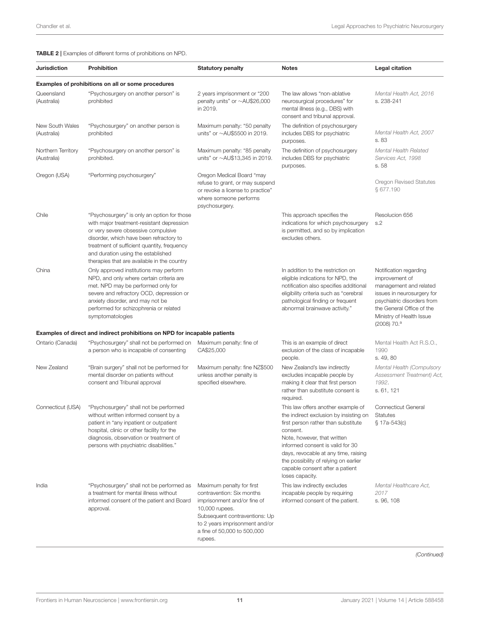<span id="page-10-0"></span>TABLE 2 | Examples of different forms of prohibitions on NPD.

| <b>Jurisdiction</b>               | Prohibition                                                                                                                                                                                                                                                                                                    | <b>Statutory penalty</b>                                                                                                                                                                                             | <b>Notes</b>                                                                                                                                                                                                                                                                                                                              | <b>Legal citation</b>                                                                                                                                                                                                |
|-----------------------------------|----------------------------------------------------------------------------------------------------------------------------------------------------------------------------------------------------------------------------------------------------------------------------------------------------------------|----------------------------------------------------------------------------------------------------------------------------------------------------------------------------------------------------------------------|-------------------------------------------------------------------------------------------------------------------------------------------------------------------------------------------------------------------------------------------------------------------------------------------------------------------------------------------|----------------------------------------------------------------------------------------------------------------------------------------------------------------------------------------------------------------------|
|                                   | Examples of prohibitions on all or some procedures                                                                                                                                                                                                                                                             |                                                                                                                                                                                                                      |                                                                                                                                                                                                                                                                                                                                           |                                                                                                                                                                                                                      |
| Queensland<br>(Australia)         | "Psychosurgery on another person" is<br>prohibited                                                                                                                                                                                                                                                             | 2 years imprisonment or "200<br>penalty units" or ~AU\$26,000<br>in 2019.                                                                                                                                            | The law allows "non-ablative<br>neurosurgical procedures" for<br>mental illness (e.g., DBS) with<br>consent and tribunal approval.                                                                                                                                                                                                        | Mental Health Act, 2016<br>s. 238-241                                                                                                                                                                                |
| New South Wales<br>(Australia)    | "Psychosurgery" on another person is<br>prohibited                                                                                                                                                                                                                                                             | Maximum penalty: "50 penalty<br>units" or $\sim$ AU\$5500 in 2019.                                                                                                                                                   | The definition of psychosurgery<br>includes DBS for psychiatric<br>purposes.                                                                                                                                                                                                                                                              | Mental Health Act, 2007<br>s. 83                                                                                                                                                                                     |
| Northern Territory<br>(Australia) | "Psychosurgery on another person" is<br>prohibited.                                                                                                                                                                                                                                                            | Maximum penalty: "85 penalty<br>units" or $\sim$ AU\$13,345 in 2019.                                                                                                                                                 | The definition of psychosurgery<br>includes DBS for psychiatric<br>purposes.                                                                                                                                                                                                                                                              | Mental Health Related<br>Services Act, 1998<br>s. 58                                                                                                                                                                 |
| Oregon (USA)                      | "Performing psychosurgery"                                                                                                                                                                                                                                                                                     | Oregon Medical Board "may<br>refuse to grant, or may suspend<br>or revoke a license to practice"<br>where someone performs<br>psychosurgery.                                                                         |                                                                                                                                                                                                                                                                                                                                           | Oregon Revised Statutes<br>§ 677.190                                                                                                                                                                                 |
| Chile                             | "Psychosurgery" is only an option for those<br>with major treatment-resistant depression<br>or very severe obsessive compulsive<br>disorder, which have been refractory to<br>treatment of sufficient quantity, frequency<br>and duration using the established<br>therapies that are available in the country |                                                                                                                                                                                                                      | This approach specifies the<br>indications for which psychosurgery<br>is permitted, and so by implication<br>excludes others.                                                                                                                                                                                                             | Resolucion 656<br>s.2                                                                                                                                                                                                |
| China                             | Only approved institutions may perform<br>NPD, and only where certain criteria are<br>met. NPD may be performed only for<br>severe and refractory OCD, depression or<br>anxiety disorder, and may not be<br>performed for schizophrenia or related<br>symptomatologies                                         |                                                                                                                                                                                                                      | In addition to the restriction on<br>eligible indications for NPD, the<br>notification also specifies additional<br>eligibility criteria such as "cerebral<br>pathological finding or frequent<br>abnormal brainwave activity."                                                                                                           | Notification regarding<br>improvement of<br>management and related<br>issues in neurosurgery for<br>psychiatric disorders from<br>the General Office of the<br>Ministry of Health Issue<br>$(2008)$ 70. <sup>a</sup> |
|                                   | Examples of direct and indirect prohibitions on NPD for incapable patients                                                                                                                                                                                                                                     |                                                                                                                                                                                                                      |                                                                                                                                                                                                                                                                                                                                           |                                                                                                                                                                                                                      |
| Ontario (Canada)                  | "Psychosurgery" shall not be performed on<br>a person who is incapable of consenting                                                                                                                                                                                                                           | Maximum penalty: fine of<br>CA\$25,000                                                                                                                                                                               | This is an example of direct<br>exclusion of the class of incapable<br>people.                                                                                                                                                                                                                                                            | Mental Health Act R.S.O.,<br>1990<br>s. 49, 80                                                                                                                                                                       |
| New Zealand                       | "Brain surgery" shall not be performed for<br>mental disorder on patients without<br>consent and Tribunal approval                                                                                                                                                                                             | Maximum penalty: fine NZ\$500<br>unless another penalty is<br>specified elsewhere.                                                                                                                                   | New Zealand's law indirectly<br>excludes incapable people by<br>making it clear that first person<br>rather than substitute consent is<br>required.                                                                                                                                                                                       | Mental Health (Compulsory<br>Assessment Treatment) Act,<br>1992.<br>s. 61, 121                                                                                                                                       |
| Connecticut (USA)                 | "Psychosurgery" shall not be performed<br>without written informed consent by a<br>patient in "any inpatient or outpatient<br>hospital, clinic or other facility for the<br>diagnosis, observation or treatment of<br>persons with psychiatric disabilities."                                                  |                                                                                                                                                                                                                      | This law offers another example of<br>the indirect exclusion by insisting on<br>first person rather than substitute<br>consent.<br>Note, however, that written<br>informed consent is valid for 30<br>days, revocable at any time, raising<br>the possibility of relying on earlier<br>capable consent after a patient<br>loses capacity. | <b>Connecticut General</b><br><b>Statutes</b><br>§ 17a-543(c)                                                                                                                                                        |
| India                             | "Psychosurgery" shall not be performed as<br>a treatment for mental illness without<br>informed consent of the patient and Board<br>approval.                                                                                                                                                                  | Maximum penalty for first<br>contravention: Six months<br>imprisonment and/or fine of<br>10,000 rupees.<br>Subsequent contraventions: Up<br>to 2 years imprisonment and/or<br>a fine of 50,000 to 500,000<br>rupees. | This law indirectly excludes<br>incapable people by requiring<br>informed consent of the patient.                                                                                                                                                                                                                                         | Mental Healthcare Act.<br>2017<br>s. 96, 108                                                                                                                                                                         |

(Continued)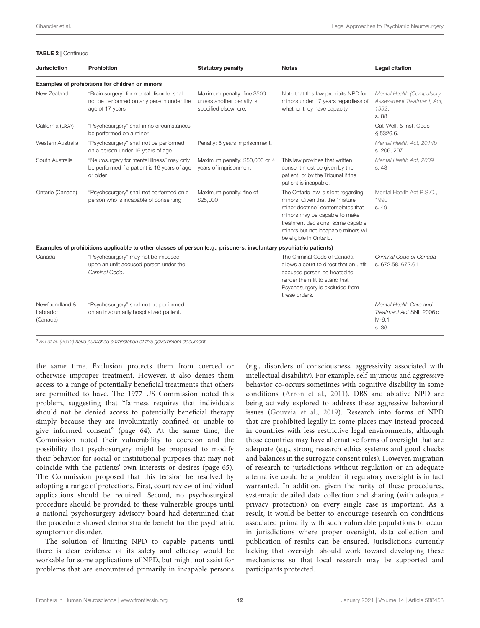#### TABLE 2 | Continued

| <b>Jurisdiction</b>                    | Prohibition                                                                                                        | <b>Statutory penalty</b>                                                         | <b>Notes</b>                                                                                                                                                                                                                                        | <b>Legal citation</b>                                                     |
|----------------------------------------|--------------------------------------------------------------------------------------------------------------------|----------------------------------------------------------------------------------|-----------------------------------------------------------------------------------------------------------------------------------------------------------------------------------------------------------------------------------------------------|---------------------------------------------------------------------------|
|                                        | Examples of prohibitions for children or minors                                                                    |                                                                                  |                                                                                                                                                                                                                                                     |                                                                           |
| New Zealand                            | "Brain surgery" for mental disorder shall<br>not be performed on any person under the<br>age of 17 years           | Maximum penalty: fine \$500<br>unless another penalty is<br>specified elsewhere. | Note that this law prohibits NPD for<br>minors under 17 years regardless of<br>whether they have capacity.                                                                                                                                          | Mental Health (Compulsory<br>Assessment Treatment) Act,<br>1992.<br>s. 88 |
| California (USA)                       | "Psychosurgery" shall in no circumstances<br>be performed on a minor                                               |                                                                                  |                                                                                                                                                                                                                                                     | Cal. Welf. & Inst. Code<br>§ 5326.6.                                      |
| Western Australia                      | "Psychosurgery" shall not be performed<br>on a person under 16 years of age.                                       | Penalty: 5 years imprisonment.                                                   |                                                                                                                                                                                                                                                     | Mental Health Act, 2014b<br>s. 206, 207                                   |
| South Australia                        | "Neurosurgery for mental illness" may only<br>be performed if a patient is 16 years of age<br>or older             | Maximum penalty: \$50,000 or 4<br>years of imprisonment                          | This law provides that written<br>consent must be given by the<br>patient, or by the Tribunal if the<br>patient is incapable.                                                                                                                       | Mental Health Act. 2009<br>s. 43                                          |
| Ontario (Canada)                       | "Psychosurgery" shall not performed on a<br>person who is incapable of consenting                                  | Maximum penalty: fine of<br>\$25,000                                             | The Ontario law is silent regarding<br>minors. Given that the "mature<br>minor doctrine" contemplates that<br>minors may be capable to make<br>treatment decisions, some capable<br>minors but not incapable minors will<br>be eligible in Ontario. | Mental Health Act R.S.O.,<br>1990<br>s. 49                                |
|                                        | Examples of prohibitions applicable to other classes of person (e.g., prisoners, involuntary psychiatric patients) |                                                                                  |                                                                                                                                                                                                                                                     |                                                                           |
| Canada                                 | "Psychosurgery" may not be imposed<br>upon an unfit accused person under the<br>Criminal Code.                     |                                                                                  | The Criminal Code of Canada<br>allows a court to direct that an unfit<br>accused person be treated to<br>render them fit to stand trial.<br>Psychosurgery is excluded from<br>these orders.                                                         | Criminal Code of Canada<br>s. 672.58, 672.61                              |
| Newfoundland &<br>Labrador<br>(Canada) | "Psychosurgery" shall not be performed<br>on an involuntarily hospitalized patient.                                |                                                                                  |                                                                                                                                                                                                                                                     | Mental Health Care and<br>Treatment Act SNL 2006 c<br>$M-9.1$<br>s. 36    |

a [Wu et al. \(2012\)](#page-19-0) have published a translation of this government document.

the same time. Exclusion protects them from coerced or otherwise improper treatment. However, it also denies them access to a range of potentially beneficial treatments that others are permitted to have. The 1977 US Commission noted this problem, suggesting that "fairness requires that individuals should not be denied access to potentially beneficial therapy simply because they are involuntarily confined or unable to give informed consent" (page 64). At the same time, the Commission noted their vulnerability to coercion and the possibility that psychosurgery might be proposed to modify their behavior for social or institutional purposes that may not coincide with the patients' own interests or desires (page 65). The Commission proposed that this tension be resolved by adopting a range of protections. First, court review of individual applications should be required. Second, no psychosurgical procedure should be provided to these vulnerable groups until a national psychosurgery advisory board had determined that the procedure showed demonstrable benefit for the psychiatric symptom or disorder.

The solution of limiting NPD to capable patients until there is clear evidence of its safety and efficacy would be workable for some applications of NPD, but might not assist for problems that are encountered primarily in incapable persons (e.g., disorders of consciousness, aggressivity associated with intellectual disability). For example, self-injurious and aggressive behavior co-occurs sometimes with cognitive disability in some conditions [\(Arron et al., 2011\)](#page-17-19). DBS and ablative NPD are being actively explored to address these aggressive behavioral issues [\(Gouveia et al., 2019\)](#page-18-51). Research into forms of NPD that are prohibited legally in some places may instead proceed in countries with less restrictive legal environments, although those countries may have alternative forms of oversight that are adequate (e.g., strong research ethics systems and good checks and balances in the surrogate consent rules). However, migration of research to jurisdictions without regulation or an adequate alternative could be a problem if regulatory oversight is in fact warranted. In addition, given the rarity of these procedures, systematic detailed data collection and sharing (with adequate privacy protection) on every single case is important. As a result, it would be better to encourage research on conditions associated primarily with such vulnerable populations to occur in jurisdictions where proper oversight, data collection and publication of results can be ensured. Jurisdictions currently lacking that oversight should work toward developing these mechanisms so that local research may be supported and participants protected.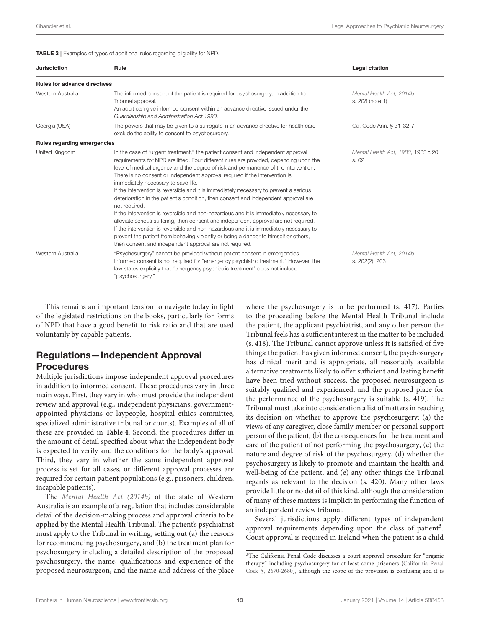<span id="page-12-0"></span>TABLE 3 | Examples of types of additional rules regarding eligibility for NPD.

| <b>Jurisdiction</b>                 | Rule                                                                                                                                                                                                                                                                                                                                                                                                                                                                                                                                                                                                                                                                                                                                                                                                                                                                                                                                                                                                                   | Legal citation                              |
|-------------------------------------|------------------------------------------------------------------------------------------------------------------------------------------------------------------------------------------------------------------------------------------------------------------------------------------------------------------------------------------------------------------------------------------------------------------------------------------------------------------------------------------------------------------------------------------------------------------------------------------------------------------------------------------------------------------------------------------------------------------------------------------------------------------------------------------------------------------------------------------------------------------------------------------------------------------------------------------------------------------------------------------------------------------------|---------------------------------------------|
| <b>Rules for advance directives</b> |                                                                                                                                                                                                                                                                                                                                                                                                                                                                                                                                                                                                                                                                                                                                                                                                                                                                                                                                                                                                                        |                                             |
| Western Australia                   | The informed consent of the patient is required for psychosurgery, in addition to<br>Tribunal approval.<br>An adult can give informed consent within an advance directive issued under the<br>Guardianship and Administration Act 1990.                                                                                                                                                                                                                                                                                                                                                                                                                                                                                                                                                                                                                                                                                                                                                                                | Mental Health Act. 2014b<br>s. 208 (note 1) |
| Georgia (USA)                       | The powers that may be given to a surrogate in an advance directive for health care<br>exclude the ability to consent to psychosurgery.                                                                                                                                                                                                                                                                                                                                                                                                                                                                                                                                                                                                                                                                                                                                                                                                                                                                                | Ga. Code Ann. § 31-32-7.                    |
| Rules regarding emergencies         |                                                                                                                                                                                                                                                                                                                                                                                                                                                                                                                                                                                                                                                                                                                                                                                                                                                                                                                                                                                                                        |                                             |
| United Kingdom                      | In the case of "urgent treatment," the patient consent and independent approval<br>requirements for NPD are lifted. Four different rules are provided, depending upon the<br>level of medical urgency and the degree of risk and permanence of the intervention.<br>There is no consent or independent approval required if the intervention is<br>immediately necessary to save life.<br>If the intervention is reversible and it is immediately necessary to prevent a serious<br>deterioration in the patient's condition, then consent and independent approval are<br>not required.<br>If the intervention is reversible and non-hazardous and it is immediately necessary to<br>alleviate serious suffering, then consent and independent approval are not required.<br>If the intervention is reversible and non-hazardous and it is immediately necessary to<br>prevent the patient from behaving violently or being a danger to himself or others,<br>then consent and independent approval are not required. | Mental Health Act, 1983, 1983 c.20<br>s. 62 |
| Western Australia                   | "Psychosurgery" cannot be provided without patient consent in emergencies.<br>Informed consent is not required for "emergency psychiatric treatment." However, the<br>law states explicitly that "emergency psychiatric treatment" does not include<br>"psychosurgery."                                                                                                                                                                                                                                                                                                                                                                                                                                                                                                                                                                                                                                                                                                                                                | Mental Health Act, 2014b<br>s. 202(2), 203  |

This remains an important tension to navigate today in light of the legislated restrictions on the books, particularly for forms of NPD that have a good benefit to risk ratio and that are used voluntarily by capable patients.

### Regulations—Independent Approval Procedures

Multiple jurisdictions impose independent approval procedures in addition to informed consent. These procedures vary in three main ways. First, they vary in who must provide the independent review and approval (e.g., independent physicians, governmentappointed physicians or laypeople, hospital ethics committee, specialized administrative tribunal or courts). Examples of all of these are provided in **[Table 4](#page-13-0)**. Second, the procedures differ in the amount of detail specified about what the independent body is expected to verify and the conditions for the body's approval. Third, they vary in whether the same independent approval process is set for all cases, or different approval processes are required for certain patient populations (e.g., prisoners, children, incapable patients).

The [Mental Health Act \(2014b\)](#page-18-50) of the state of Western Australia is an example of a regulation that includes considerable detail of the decision-making process and approval criteria to be applied by the Mental Health Tribunal. The patient's psychiatrist must apply to the Tribunal in writing, setting out (a) the reasons for recommending psychosurgery, and (b) the treatment plan for psychosurgery including a detailed description of the proposed psychosurgery, the name, qualifications and experience of the proposed neurosurgeon, and the name and address of the place

where the psychosurgery is to be performed (s. 417). Parties to the proceeding before the Mental Health Tribunal include the patient, the applicant psychiatrist, and any other person the Tribunal feels has a sufficient interest in the matter to be included (s. 418). The Tribunal cannot approve unless it is satisfied of five things: the patient has given informed consent, the psychosurgery has clinical merit and is appropriate, all reasonably available alternative treatments likely to offer sufficient and lasting benefit have been tried without success, the proposed neurosurgeon is suitably qualified and experienced, and the proposed place for the performance of the psychosurgery is suitable (s. 419). The Tribunal must take into consideration a list of matters in reaching its decision on whether to approve the psychosurgery: (a) the views of any caregiver, close family member or personal support person of the patient, (b) the consequences for the treatment and care of the patient of not performing the psychosurgery, (c) the nature and degree of risk of the psychosurgery, (d) whether the psychosurgery is likely to promote and maintain the health and well-being of the patient, and (e) any other things the Tribunal regards as relevant to the decision (s. 420). Many other laws provide little or no detail of this kind, although the consideration of many of these matters is implicit in performing the function of an independent review tribunal.

Several jurisdictions apply different types of independent approval requirements depending upon the class of patient<sup>[3](#page-12-1)</sup>. Court approval is required in Ireland when the patient is a child

<span id="page-12-1"></span><sup>&</sup>lt;sup>3</sup>The California Penal Code discusses a court approval procedure for "organic therapy" including psychosurgery for at least some prisoners (California Penal Code §, [2670-2680\)](#page-17-20), although the scope of the provision is confusing and it is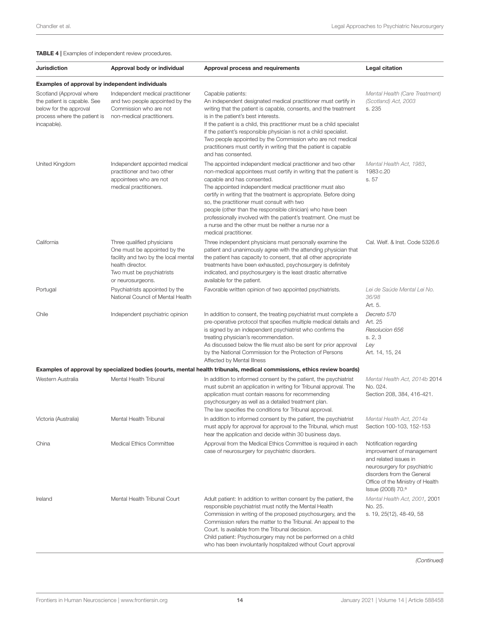<span id="page-13-0"></span>TABLE 4 | Examples of independent review procedures.

| Jurisdiction                                                                                                                     | Approval body or individual                                                                                                                                              | Approval process and requirements                                                                                                                                                                                                                                                                                                                                                                                                                                                                                                                                    | Legal citation                                                                                                                                                                                                  |
|----------------------------------------------------------------------------------------------------------------------------------|--------------------------------------------------------------------------------------------------------------------------------------------------------------------------|----------------------------------------------------------------------------------------------------------------------------------------------------------------------------------------------------------------------------------------------------------------------------------------------------------------------------------------------------------------------------------------------------------------------------------------------------------------------------------------------------------------------------------------------------------------------|-----------------------------------------------------------------------------------------------------------------------------------------------------------------------------------------------------------------|
| <b>Examples of approval by independent individuals</b>                                                                           |                                                                                                                                                                          |                                                                                                                                                                                                                                                                                                                                                                                                                                                                                                                                                                      |                                                                                                                                                                                                                 |
| Scotland (Approval where<br>the patient is capable. See<br>below for the approval<br>process where the patient is<br>incapable). | Independent medical practitioner<br>and two people appointed by the<br>Commission who are not<br>non-medical practitioners.                                              | Capable patients:<br>An independent designated medical practitioner must certify in<br>writing that the patient is capable, consents, and the treatment<br>is in the patient's best interests.<br>If the patient is a child, this practitioner must be a child specialist<br>if the patient's responsible physician is not a child specialist.<br>Two people appointed by the Commission who are not medical<br>practitioners must certify in writing that the patient is capable<br>and has consented.                                                              | Mental Health (Care Treatment)<br>(Scotland) Act, 2003<br>s. 235                                                                                                                                                |
| United Kingdom                                                                                                                   | Independent appointed medical<br>practitioner and two other<br>appointees who are not<br>medical practitioners.                                                          | The appointed independent medical practitioner and two other<br>non-medical appointees must certify in writing that the patient is<br>capable and has consented.<br>The appointed independent medical practitioner must also<br>certify in writing that the treatment is appropriate. Before doing<br>so, the practitioner must consult with two<br>people (other than the responsible clinician) who have been<br>professionally involved with the patient's treatment. One must be<br>a nurse and the other must be neither a nurse nor a<br>medical practitioner. | Mental Health Act, 1983,<br>1983 c.20<br>s. 57                                                                                                                                                                  |
| California                                                                                                                       | Three qualified physicians<br>One must be appointed by the<br>facility and two by the local mental<br>health director.<br>Two must be psychiatrists<br>or neurosurgeons. | Three independent physicians must personally examine the<br>patient and unanimously agree with the attending physician that<br>the patient has capacity to consent, that all other appropriate<br>treatments have been exhausted, psychosurgery is definitely<br>indicated, and psychosurgery is the least drastic alternative<br>available for the patient.                                                                                                                                                                                                         | Cal. Welf. & Inst. Code 5326.6                                                                                                                                                                                  |
| Portugal                                                                                                                         | Psychiatrists appointed by the<br>National Council of Mental Health                                                                                                      | Favorable written opinion of two appointed psychiatrists.                                                                                                                                                                                                                                                                                                                                                                                                                                                                                                            | Lei de Saúde Mental Lei No.<br>36/98<br>Art. 5.                                                                                                                                                                 |
| Chile                                                                                                                            | Independent psychiatric opinion                                                                                                                                          | In addition to consent, the treating psychiatrist must complete a<br>pre-operative protocol that specifies multiple medical details and<br>is signed by an independent psychiatrist who confirms the<br>treating physician's recommendation.<br>As discussed below the file must also be sent for prior approval<br>by the National Commission for the Protection of Persons<br>Affected by Mental Illness                                                                                                                                                           | Decreto 570<br>Art. 25<br>Resolucion 656<br>s. 2, 3<br>Ley<br>Art. 14, 15, 24                                                                                                                                   |
|                                                                                                                                  |                                                                                                                                                                          | Examples of approval by specialized bodies (courts, mental health tribunals, medical commissions, ethics review boards)                                                                                                                                                                                                                                                                                                                                                                                                                                              |                                                                                                                                                                                                                 |
| Western Australia                                                                                                                | Mental Health Tribunal                                                                                                                                                   | In addition to informed consent by the patient, the psychiatrist<br>must submit an application in writing for Tribunal approval. The<br>application must contain reasons for recommending<br>psychosurgery as well as a detailed treatment plan.<br>The law specifies the conditions for Tribunal approval.                                                                                                                                                                                                                                                          | Mental Health Act, 2014b 2014<br>No. 024.<br>Section 208, 384, 416-421.                                                                                                                                         |
| Victoria (Australia)                                                                                                             | Mental Health Tribunal                                                                                                                                                   | In addition to informed consent by the patient, the psychiatrist<br>must apply for approval for approval to the Tribunal, which must<br>hear the application and decide within 30 business days.                                                                                                                                                                                                                                                                                                                                                                     | Mental Health Act. 2014a<br>Section 100-103, 152-153                                                                                                                                                            |
| China                                                                                                                            | Medical Ethics Committee                                                                                                                                                 | Approval from the Medical Ethics Committee is required in each<br>case of neurosurgery for psychiatric disorders.                                                                                                                                                                                                                                                                                                                                                                                                                                                    | Notification regarding<br>improvement of management<br>and related issues in<br>neurosurgery for psychiatric<br>disorders from the General<br>Office of the Ministry of Health<br>Issue (2008) 70. <sup>a</sup> |
| Ireland                                                                                                                          | Mental Health Tribunal Court                                                                                                                                             | Adult patient: In addition to written consent by the patient, the<br>responsible psychiatrist must notify the Mental Health<br>Commission in writing of the proposed psychosurgery, and the<br>Commission refers the matter to the Tribunal. An appeal to the<br>Court. Is available from the Tribunal decision.<br>Child patient: Psychosurgery may not be performed on a child<br>who has been involuntarily hospitalized without Court approval                                                                                                                   | Mental Health Act, 2001, 2001<br>No. 25.<br>s. 19, 25(12), 48-49, 58                                                                                                                                            |

(Continued)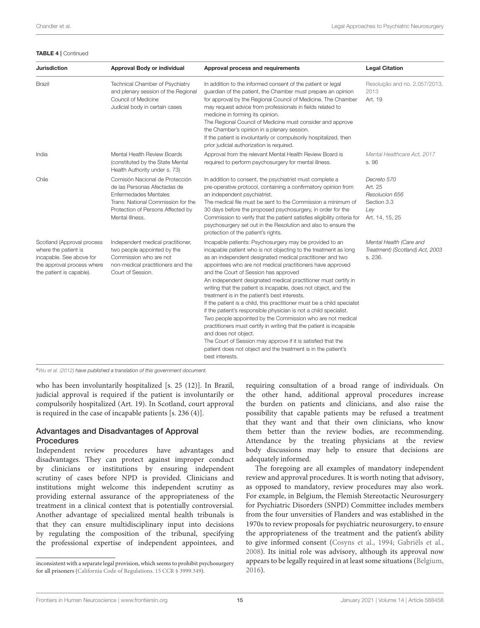#### TABLE 4 | Continued

| <b>Jurisdiction</b>                                                                                                                      | Approval Body or individual                                                                                                                                                                   | Approval process and requirements                                                                                                                                                                                                                                                                                                                                                                                                                                                                                                                                                                                                                                                                                                                                                                                                                                                                                                                     | <b>Legal Citation</b>                                                             |
|------------------------------------------------------------------------------------------------------------------------------------------|-----------------------------------------------------------------------------------------------------------------------------------------------------------------------------------------------|-------------------------------------------------------------------------------------------------------------------------------------------------------------------------------------------------------------------------------------------------------------------------------------------------------------------------------------------------------------------------------------------------------------------------------------------------------------------------------------------------------------------------------------------------------------------------------------------------------------------------------------------------------------------------------------------------------------------------------------------------------------------------------------------------------------------------------------------------------------------------------------------------------------------------------------------------------|-----------------------------------------------------------------------------------|
| Brazil                                                                                                                                   | Technical Chamber of Psychiatry<br>and plenary session of the Regional<br>Council of Medicine<br>Judicial body in certain cases                                                               | In addition to the informed consent of the patient or legal<br>guardian of the patient, the Chamber must prepare an opinion<br>for approval by the Regional Council of Medicine. The Chamber<br>may request advice from professionals in fields related to<br>medicine in forming its opinion.<br>The Regional Council of Medicine must consider and approve<br>the Chamber's opinion in a plenary session.<br>If the patient is involuntarily or compulsorily hospitalized, then<br>prior judicial authorization is required.                                                                                                                                                                                                                                                                                                                                                                                                                        | Resolução and no. 2.057/2013,<br>2013<br>Art. 19                                  |
| India                                                                                                                                    | Mental Health Review Boards<br>(constituted by the State Mental<br>Health Authority under s. 73)                                                                                              | Approval from the relevant Mental Health Review Board is<br>required to perform psychosurgery for mental illness.                                                                                                                                                                                                                                                                                                                                                                                                                                                                                                                                                                                                                                                                                                                                                                                                                                     | Mental Healthcare Act, 2017<br>s. 96                                              |
| Chile                                                                                                                                    | Comisión Nacional de Protección<br>de las Personas Afectadas de<br><b>Enfermedades Mentales</b><br>Trans: National Commission for the<br>Protection of Persons Affected by<br>Mental Illness. | In addition to consent, the psychiatrist must complete a<br>pre-operative protocol, containing a confirmatory opinion from<br>an independent psychiatrist.<br>The medical file must be sent to the Commission a minimum of<br>30 days before the proposed psychosurgery, in order for the<br>Commission to verify that the patient satisfies eligibility criteria for<br>psychosurgery set out in the Resolution and also to ensure the<br>protection of the patient's rights.                                                                                                                                                                                                                                                                                                                                                                                                                                                                        | Decreto 570<br>Art. 25<br>Resolucion 656<br>Section 3.3<br>Lev<br>Art. 14, 15, 25 |
| Scotland (Approval process<br>where the patient is<br>incapable. See above for<br>the approval process where<br>the patient is capable). | Independent medical practitioner,<br>two people appointed by the<br>Commission who are not<br>non-medical practitioners and the<br>Court of Session.                                          | Incapable patients: Psychosurgery may be provided to an<br>incapable patient who is not objecting to the treatment as long<br>as an independent designated medical practitioner and two<br>appointees who are not medical practitioners have approved<br>and the Court of Session has approved<br>An independent designated medical practitioner must certify in<br>writing that the patient is incapable, does not object, and the<br>treatment is in the patient's best interests.<br>If the patient is a child, this practitioner must be a child specialist<br>if the patient's responsible physician is not a child specialist.<br>Two people appointed by the Commission who are not medical<br>practitioners must certify in writing that the patient is incapable<br>and does not object.<br>The Court of Session may approve if it is satisfied that the<br>patient does not object and the treatment is in the patient's<br>best interests. | Mental Health (Care and<br>Treatment) (Scotland) Act, 2003<br>s. 236.             |

a [Wu et al. \(2012\)](#page-19-0) have published a translation of this government document.

who has been involuntarily hospitalized [s. 25 (12)]. In Brazil, judicial approval is required if the patient is involuntarily or compulsorily hospitalized (Art. 19). In Scotland, court approval is required in the case of incapable patients [s. 236 (4)].

### Advantages and Disadvantages of Approval **Procedures**

Independent review procedures have advantages and disadvantages. They can protect against improper conduct by clinicians or institutions by ensuring independent scrutiny of cases before NPD is provided. Clinicians and institutions might welcome this independent scrutiny as providing external assurance of the appropriateness of the treatment in a clinical context that is potentially controversial. Another advantage of specialized mental health tribunals is that they can ensure multidisciplinary input into decisions by regulating the composition of the tribunal, specifying the professional expertise of independent appointees, and requiring consultation of a broad range of individuals. On the other hand, additional approval procedures increase the burden on patients and clinicians, and also raise the possibility that capable patients may be refused a treatment that they want and that their own clinicians, who know them better than the review bodies, are recommending. Attendance by the treating physicians at the review body discussions may help to ensure that decisions are adequately informed.

The foregoing are all examples of mandatory independent review and approval procedures. It is worth noting that advisory, as opposed to mandatory, review procedures may also work. For example, in Belgium, the Flemish Stereotactic Neurosurgery for Psychiatric Disorders (SNPD) Committee includes members from the four unversities of Flanders and was established in the 1970s to review proposals for psychiatric neurosurgery, to ensure the appropriateness of the treatment and the patient's ability to give informed consent [\(Cosyns et al., 1994;](#page-17-5) [Gabriëls et al.,](#page-17-6) [2008\)](#page-17-6). Its initial role was advisory, although its approval now appears to be legally required in at least some situations [\(Belgium,](#page-17-22) [2016\)](#page-17-22).

inconsistent with a separate legal provision, which seems to prohibit psychosurgery for all prisoners [\(California Code of Regulations. 15 CCR § 3999.349\)](#page-17-21).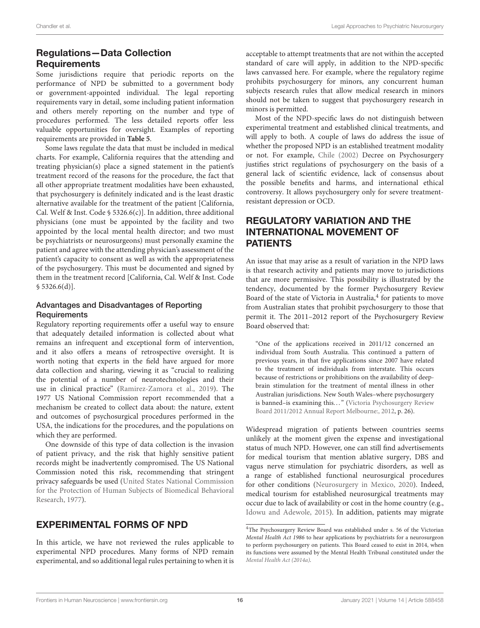### Regulations—Data Collection **Requirements**

Some jurisdictions require that periodic reports on the performance of NPD be submitted to a government body or government-appointed individual. The legal reporting requirements vary in detail, some including patient information and others merely reporting on the number and type of procedures performed. The less detailed reports offer less valuable opportunities for oversight. Examples of reporting requirements are provided in **[Table 5](#page-16-0)**.

Some laws regulate the data that must be included in medical charts. For example, California requires that the attending and treating physician(s) place a signed statement in the patient's treatment record of the reasons for the procedure, the fact that all other appropriate treatment modalities have been exhausted, that psychosurgery is definitely indicated and is the least drastic alternative available for the treatment of the patient [California, Cal. Welf & Inst. Code § 5326.6(c)]. In addition, three additional physicians (one must be appointed by the facility and two appointed by the local mental health director; and two must be psychiatrists or neurosurgeons) must personally examine the patient and agree with the attending physician's assessment of the patient's capacity to consent as well as with the appropriateness of the psychosurgery. This must be documented and signed by them in the treatment record [California, Cal. Welf & Inst. Code  $$5326.6(d)].$ 

### Advantages and Disadvantages of Reporting **Requirements**

Regulatory reporting requirements offer a useful way to ensure that adequately detailed information is collected about what remains an infrequent and exceptional form of intervention, and it also offers a means of retrospective oversight. It is worth noting that experts in the field have argued for more data collection and sharing, viewing it as "crucial to realizing the potential of a number of neurotechnologies and their use in clinical practice" [\(Ramirez-Zamora et al., 2019\)](#page-18-52). The 1977 US National Commission report recommended that a mechanism be created to collect data about: the nature, extent and outcomes of psychosurgical procedures performed in the USA, the indications for the procedures, and the populations on which they are performed.

One downside of this type of data collection is the invasion of patient privacy, and the risk that highly sensitive patient records might be inadvertently compromised. The US National Commission noted this risk, recommending that stringent privacy safeguards be used (United States National Commission for the P[rotection of Huma](#page-18-53)n Subjects of Biomedical Behavioral Research, [1977\)](#page-18-53).

### EXPERIMENTAL FORMS OF NPD

In this article, we have not reviewed the rules applicable to experimental NPD procedures. Many forms of NPD remain experimental, and so additional legal rules pertaining to when it is acceptable to attempt treatments that are not within the accepted standard of care will apply, in addition to the NPD-specific laws canvassed here. For example, where the regulatory regime prohibits psychosurgery for minors, any concurrent human subjects research rules that allow medical research in minors should not be taken to suggest that psychosurgery research in minors is permitted.

Most of the NPD-specific laws do not distinguish between experimental treatment and established clinical treatments, and will apply to both. A couple of laws do address the issue of whether the proposed NPD is an established treatment modality or not. For example, [Chile \(2002\)](#page-17-14) Decree on Psychosurgery justifies strict regulations of psychosurgery on the basis of a general lack of scientific evidence, lack of consensus about the possible benefits and harms, and international ethical controversy. It allows psychosurgery only for severe treatmentresistant depression or OCD.

# REGULATORY VARIATION AND THE INTERNATIONAL MOVEMENT OF PATIENTS

An issue that may arise as a result of variation in the NPD laws is that research activity and patients may move to jurisdictions that are more permissive. This possibility is illustrated by the tendency, documented by the former Psychosurgery Review Board of the state of Victoria in Australia,<sup>[4](#page-15-0)</sup> for patients to move from Australian states that prohibit psychosurgery to those that permit it. The 2011–2012 report of the Psychosurgery Review Board observed that:

"One of the applications received in 2011/12 concerned an individual from South Australia. This continued a pattern of previous years, in that five applications since 2007 have related to the treatment of individuals from interstate. This occurs because of restrictions or prohibitions on the availability of deepbrain stimulation for the treatment of mental illness in other Australian jurisdictions. New South Wales–where psychosurgery is banned-is examining this..." (Victoria Psychosurgery Review Board 2011/2012 Annual Report Melbourne:, [2012,](#page-18-54) p. 26).

Widespread migration of patients between countries seems unlikely at the moment given the expense and investigational status of much NPD. However, one can still find advertisements for medical tourism that mention ablative surgery, DBS and vagus nerve stimulation for psychiatric disorders, as well as a range of established functional neurosurgical procedures for other conditions [\(Neurosurgery in Mexico, 2020\)](#page-18-55). Indeed, medical tourism for established neurosurgical treatments may occur due to lack of availability or cost in the home country (e.g., [Idowu and Adewole, 2015\)](#page-18-56). In addition, patients may migrate

<span id="page-15-0"></span><sup>4</sup>The Psychosurgery Review Board was established under s. 56 of the Victorian Mental Health Act 1986 to hear applications by psychiatrists for a neurosurgeon to perform psychosurgery on patients. This Board ceased to exist in 2014, when its functions were assumed by the Mental Health Tribunal constituted under the [Mental Health Act \(2014a\)](#page-18-23).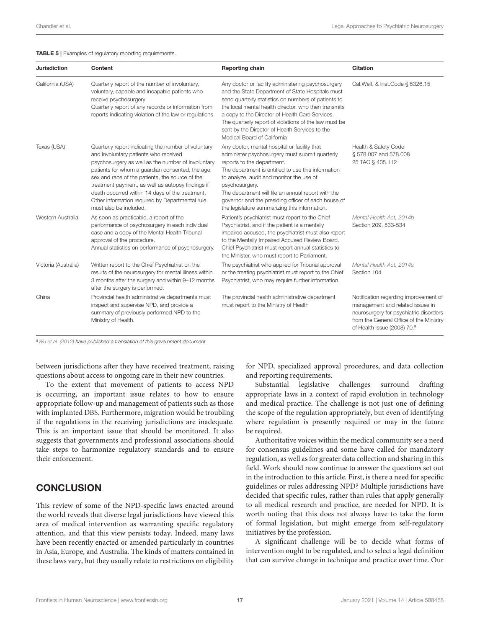#### <span id="page-16-0"></span>TABLE 5 | Examples of regulatory reporting requirements.

| <b>Jurisdiction</b>  | Content                                                                                                                                                                                                                                                                                                                                                                                                                                        | <b>Reporting chain</b>                                                                                                                                                                                                                                                                                                                                                                                             | <b>Citation</b>                                                                                                                                                                                           |
|----------------------|------------------------------------------------------------------------------------------------------------------------------------------------------------------------------------------------------------------------------------------------------------------------------------------------------------------------------------------------------------------------------------------------------------------------------------------------|--------------------------------------------------------------------------------------------------------------------------------------------------------------------------------------------------------------------------------------------------------------------------------------------------------------------------------------------------------------------------------------------------------------------|-----------------------------------------------------------------------------------------------------------------------------------------------------------------------------------------------------------|
| California (USA)     | Quarterly report of the number of involuntary,<br>voluntary, capable and incapable patients who<br>receive psychosurgery<br>Quarterly report of any records or information from<br>reports indicating violation of the law or regulations                                                                                                                                                                                                      | Any doctor or facility administering psychosurgery<br>and the State Department of State Hospitals must<br>send quarterly statistics on numbers of patients to<br>the local mental health director, who then transmits<br>a copy to the Director of Health Care Services.<br>The quarterly report of violations of the law must be<br>sent by the Director of Health Services to the<br>Medical Board of California | Cal. Welf. & Inst. Code § 5326.15                                                                                                                                                                         |
| Texas (USA)          | Quarterly report indicating the number of voluntary<br>and involuntary patients who received<br>psychosurgery as well as the number of involuntary<br>patients for whom a guardian consented, the age,<br>sex and race of the patients, the source of the<br>treatment payment, as well as autopsy findings if<br>death occurred within 14 days of the treatment.<br>Other information required by Departmental rule<br>must also be included. | Any doctor, mental hospital or facility that<br>administer psychosurgery must submit quarterly<br>reports to the department.<br>The department is entitled to use this information<br>to analyze, audit and monitor the use of<br>psychosurgery.<br>The department will file an annual report with the<br>governor and the presiding officer of each house of<br>the legislature summarizing this information.     | Health & Safety Code<br>§ 578.007 and 578.008<br>25 TAC § 405.112                                                                                                                                         |
| Western Australia    | As soon as practicable, a report of the<br>performance of psychosurgery in each individual<br>case and a copy of the Mental Health Tribunal<br>approval of the procedure.<br>Annual statistics on performance of psychosurgery.                                                                                                                                                                                                                | Patient's psychiatrist must report to the Chief<br>Psychiatrist, and if the patient is a mentally<br>impaired accused, the psychiatrist must also report<br>to the Mentally Impaired Accused Review Board.<br>Chief Psychiatrist must report annual statistics to<br>the Minister, who must report to Parliament.                                                                                                  | Mental Health Act, 2014b<br>Section 209, 533-534                                                                                                                                                          |
| Victoria (Australia) | Written report to the Chief Psychiatrist on the<br>results of the neurosurgery for mental illness within<br>3 months after the surgery and within 9-12 months<br>after the surgery is performed.                                                                                                                                                                                                                                               | The psychiatrist who applied for Tribunal approval<br>or the treating psychiatrist must report to the Chief<br>Psychiatrist, who may require further information.                                                                                                                                                                                                                                                  | Mental Health Act, 2014a<br>Section 104                                                                                                                                                                   |
| China                | Provincial health administrative departments must<br>inspect and supervise NPD, and provide a<br>summary of previously performed NPD to the<br>Ministry of Health.                                                                                                                                                                                                                                                                             | The provincial health administrative department<br>must report to the Ministry of Health                                                                                                                                                                                                                                                                                                                           | Notification regarding improvement of<br>management and related issues in<br>neurosurgery for psychiatric disorders<br>from the General Office of the Ministry<br>of Health Issue (2008) 70. <sup>a</sup> |

a [Wu et al. \(2012\)](#page-19-0) have published a translation of this government document.

between jurisdictions after they have received treatment, raising questions about access to ongoing care in their new countries.

To the extent that movement of patients to access NPD is occurring, an important issue relates to how to ensure appropriate follow-up and management of patients such as those with implanted DBS. Furthermore, migration would be troubling if the regulations in the receiving jurisdictions are inadequate. This is an important issue that should be monitored. It also suggests that governments and professional associations should take steps to harmonize regulatory standards and to ensure their enforcement.

### **CONCLUSION**

This review of some of the NPD-specific laws enacted around the world reveals that diverse legal jurisdictions have viewed this area of medical intervention as warranting specific regulatory attention, and that this view persists today. Indeed, many laws have been recently enacted or amended particularly in countries in Asia, Europe, and Australia. The kinds of matters contained in these laws vary, but they usually relate to restrictions on eligibility for NPD, specialized approval procedures, and data collection and reporting requirements.

Substantial legislative challenges surround drafting appropriate laws in a context of rapid evolution in technology and medical practice. The challenge is not just one of defining the scope of the regulation appropriately, but even of identifying where regulation is presently required or may in the future be required.

Authoritative voices within the medical community see a need for consensus guidelines and some have called for mandatory regulation, as well as for greater data collection and sharing in this field. Work should now continue to answer the questions set out in the introduction to this article. First, is there a need for specific guidelines or rules addressing NPD? Multiple jurisdictions have decided that specific rules, rather than rules that apply generally to all medical research and practice, are needed for NPD. It is worth noting that this does not always have to take the form of formal legislation, but might emerge from self-regulatory initiatives by the profession.

A significant challenge will be to decide what forms of intervention ought to be regulated, and to select a legal definition that can survive change in technique and practice over time. Our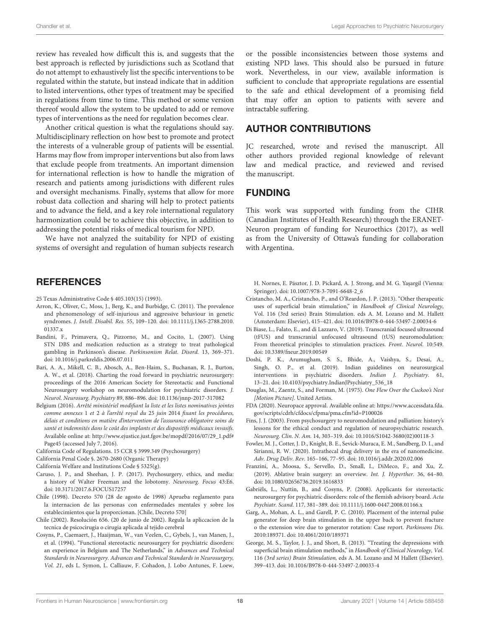review has revealed how difficult this is, and suggests that the best approach is reflected by jurisdictions such as Scotland that do not attempt to exhaustively list the specific interventions to be regulated within the statute, but instead indicate that in addition to listed interventions, other types of treatment may be specified in regulations from time to time. This method or some version thereof would allow the system to be updated to add or remove types of interventions as the need for regulation becomes clear.

Another critical question is what the regulations should say. Multidisciplinary reflection on how best to promote and protect the interests of a vulnerable group of patients will be essential. Harms may flow from improper interventions but also from laws that exclude people from treatments. An important dimension for international reflection is how to handle the migration of research and patients among jurisdictions with different rules and oversight mechanisms. Finally, systems that allow for more robust data collection and sharing will help to protect patients and to advance the field, and a key role international regulatory harmonization could be to achieve this objective, in addition to addressing the potential risks of medical tourism for NPD.

We have not analyzed the suitability for NPD of existing systems of oversight and regulation of human subjects research

### **REFERENCES**

<span id="page-17-15"></span>25 Texas Administrative Code § 405.103(15) (1993).

- <span id="page-17-19"></span>Arron, K., Oliver, C., Moss, J., Berg, K., and Burbidge, C. (2011). The prevalence and phenomenology of self-injurious and aggressive behaviour in genetic syndromes. J. Intell. Disabil. Res. [55, 109–120. doi: 10.1111/j.1365-2788.2010.](https://doi.org/10.1111/j.1365-2788.2010.01337.x) 01337.x
- <span id="page-17-18"></span>Bandini, F., Primavera, Q., Pizzorno, M., and Cocito, L. (2007). Using STN DBS and medication reduction as a strategy to treat pathological gambling in Parkinson's disease. Parkinsonism Relat. Disord. 13, 369–371. doi: [10.1016/j.parkreldis.2006.07.011](https://doi.org/10.1016/j.parkreldis.2006.07.011)
- <span id="page-17-3"></span>Bari, A. A., Mikell, C. B., Abosch, A., Ben-Haim, S., Buchanan, R. J., Burton, A. W., et al. (2018). Charting the road forward in psychiatric neurosurgery: proceedings of the 2016 American Society for Stereotactic and Functional Neurosurgery workshop on neuromodulation for psychiatric disorders. J. Neurol. Neurosurg. Psychiatry 89, 886–896. doi: [10.1136/jnnp-2017-317082](https://doi.org/10.1136/jnnp-2017-317082)
- <span id="page-17-22"></span>Belgium (2016). Arrêté ministériel modifiant la liste et les listes nominatives jointes comme annexes 1 et 2 à l'arrêté royal du 25 juin 2014 fixant les procédures, délais et conditions en matière d'intervention de l'assurance obligatoire soins de santé et indemnités dans le coût des implants et des dispositifs médicaux invasifs. Available online at: [http://www.ejustice.just.fgov.be/mopdf/2016/07/29\\_1.pdf#](http://www.ejustice.just.fgov.be/mopdf/2016/07/29_1.pdf#Page45) [Page45](http://www.ejustice.just.fgov.be/mopdf/2016/07/29_1.pdf#Page45) (accessed July 7, 2016).
- <span id="page-17-21"></span>California Code of Regulations. 15 CCR § 3999.349 (Psychosurgery)
- <span id="page-17-20"></span>California Penal Code §. 2670-2680 (Organic Therapy)
- <span id="page-17-16"></span>California Welfare and Institutions Code § 5325(g).
- <span id="page-17-0"></span>Caruso, J. P., and Sheehan, J. P. (2017). Psychosurgery, ethics, and media: a history of Walter Freeman and the lobotomy. Neurosurg. Focus 43:E6. doi: [10.3171/2017.6.FOCUS17257](https://doi.org/10.3171/2017.6.FOCUS17257)
- <span id="page-17-13"></span>Chile (1998). Decreto 570 (28 de agosto de 1998) Aprueba reglamento para la internacion de las personas con enfermedades mentales y sobre los establecimientos que la proporcionan. [Chile, Decreto 570]
- <span id="page-17-14"></span>Chile (2002). Resolución 656. (20 de junio de 2002). Regula la apliccacion de la tecnica de psicocirugia o cirugia aplicada al tejido cerebral
- <span id="page-17-5"></span>Cosyns, P., Caemaert, J., Haaijman, W., van Veelen, C., Gybels, J., van Manen, J., et al. (1994). "Functional stereotactic neurosurgery for psychiatric disorders: an experience in Belgium and The Netherlands," in Advances and Technical Standards in Neurosurgery. Advances and Technical Standards in Neurosurgery, Vol. 21, eds L. Symon, L. Calliauw, F. Cohadon, J. Lobo Antunes, F. Loew,

or the possible inconsistencies between those systems and existing NPD laws. This should also be pursued in future work. Nevertheless, in our view, available information is sufficient to conclude that appropriate regulations are essential to the safe and ethical development of a promising field that may offer an option to patients with severe and intractable suffering.

# AUTHOR CONTRIBUTIONS

JC researched, wrote and revised the manuscript. All other authors provided regional knowledge of relevant law and medical practice, and reviewed and revised the manuscript.

### FUNDING

This work was supported with funding from the CIHR (Canadian Institutes of Health Research) through the ERANET-Neuron program of funding for Neuroethics (2017), as well as from the University of Ottawa's funding for collaboration with Argentina.

H. Nornes, E. Pásztor, J. D. Pickard, A. J. Strong, and M. G. Yaşargil (Vienna: Springer). doi: [10.1007/978-3-7091-6648-2\\_6](https://doi.org/10.1007/978-3-7091-6648-2_6)

- <span id="page-17-8"></span>Cristancho, M. A., Cristancho, P., and O'Reardon, J. P. (2013). "Other therapeutic uses of superficial brain stimulation," in Handbook of Clinical Neurology, Vol. 116 (3rd series) Brain Stimulation. eds A. M. Lozano and M. Hallett (Amsterdam: Elsevier), 415–421. doi: [10.1016/B978-0-444-53497-2.00034-6](https://doi.org/10.1016/B978-0-444-53497-2.00034-6)
- <span id="page-17-10"></span>Di Biase, L., Falato, E., and di Lazzaro, V. (2019). Transcranial focused ultrasound (tFUS) and transcranial unfocused ultrasound (tUS) neuromodulation: From theoretical principles to stimulation practices. Front. Neurol. 10:549. doi: [10.3389/fneur.2019.00549](https://doi.org/10.3389/fneur.2019.00549)
- <span id="page-17-4"></span>Doshi, P. K., Arumugham, S. S., Bhide, A., Vaishya, S., Desai, A., Singh, O. P., et al. (2019). Indian guidelines on neurosurgical interventions in psychiatric disorders. Indian J. Psychiatry. 61, 13–21. doi: [10.4103/psychiatry.IndianJPsychiatry\\_536\\_18](https://doi.org/10.4103/psychiatry.IndianJPsychiatry_536_18)
- <span id="page-17-1"></span>Douglas, M., Zaentz, S., and Forman, M. (1975). One Flew Over the Cuckoo's Nest [Motion Picture]. United Artists.
- <span id="page-17-11"></span>FDA (2020). Neuropace approval. Available online at: [https://www.accessdata.fda.](https://www.accessdata.fda.gov/scripts/cdrh/cfdocs/cfpma/pma.cfm?id=P100026) [gov/scripts/cdrh/cfdocs/cfpma/pma.cfm?id=P100026](https://www.accessdata.fda.gov/scripts/cdrh/cfdocs/cfpma/pma.cfm?id=P100026)
- <span id="page-17-2"></span>Fins, J. J. (2003). From psychosurgery to neuromodulation and palliation: history's lessons for the ethical conduct and regulation of neuropsychiatric research. Neurosurg. Clin. N. Am. 14, 303–319. doi: [10.1016/S1042-3680\(02\)00118-3](https://doi.org/10.1016/S1042-3680(02)00118-3)
- <span id="page-17-12"></span>Fowler, M. J., Cotter, J. D., Knight, B. E., Sevick-Muraca, E. M., Sandberg, D. I., and Sirianni, R. W. (2020). Intrathecal drug delivery in the era of nanomedicine. Adv. Drug Deliv. Rev. 165–166, 77–95. doi: [10.1016/j.addr.2020.02.006](https://doi.org/10.1016/j.addr.2020.02.006)
- <span id="page-17-7"></span>Franzini, A., Moosa, S., Servello, D., Small, I., DiMeco, F., and Xu, Z. (2019). Ablative brain surgery: an overview. Int. J. Hyperther. 36, 64–80. doi: [10.1080/02656736.2019.1616833](https://doi.org/10.1080/02656736.2019.1616833)
- <span id="page-17-6"></span>Gabriëls, L., Nuttin, B., and Cosyns, P. (2008). Applicants for stereotactic neurosurgery for psychiatric disorders: role of the flemish advisory board. Acta Psychiatr. Scand. 117, 381–389. doi: [10.1111/j.1600-0447.2008.01166.x](https://doi.org/10.1111/j.1600-0447.2008.01166.x)
- <span id="page-17-17"></span>Garg, A., Mohan, A. L., and Garell, P. C. (2010). Placement of the internal pulse generator for deep brain stimulation in the upper back to prevent fracture o the extension wire due to generator rotation: Case report. Parkinsons Dis. 2010:189371. doi: [10.4061/2010/189371](https://doi.org/10.4061/2010/189371)
- <span id="page-17-9"></span>George, M. S., Taylor, J. J., and Short, B. (2013). "Treating the depressions with superficial brain stimulation methods," in Handbook of Clinical Neurology, Vol. 116 (3rd series) Brain Stimulation, eds A. M. Lozano and M Hallett (Elsevier). 399–413. doi: [10.1016/B978-0-444-53497-2.00033-4](https://doi.org/10.1016/B978-0-444-53497-2.00033-4)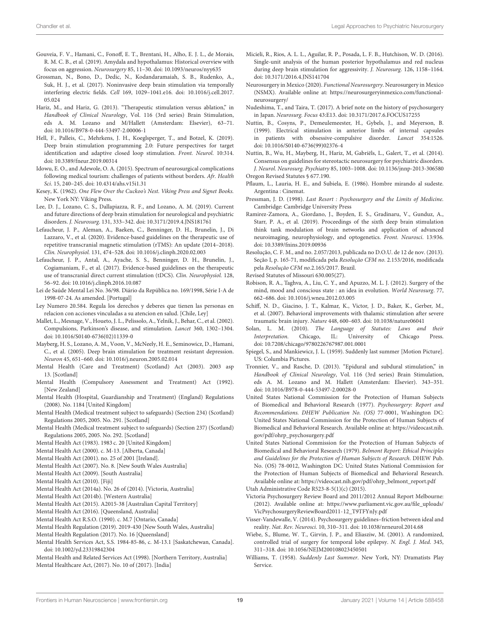- <span id="page-18-51"></span>Gouveia, F. V., Hamani, C., Fonoff, E. T., Brentani, H., Alho, E. J. L., de Morais, R. M. C. B., et al. (2019). Amydala and hypothalamus: Historical overview with focus on aggression. Neurosurgery 85, 11–30. doi: [10.1093/neuros/nyy635](https://doi.org/10.1093/neuros/nyy635)
- <span id="page-18-18"></span>Grossman, N., Bono, D., Dedic, N., Kodandaramaiah, S. B., Rudenko, A., Suk, H. J., et al. (2017). Noninvasive deep brain stimulation via temporally interfering electric fields. Cell [169, 1029–1041.e16. doi: 10.1016/j.cell.2017.](https://doi.org/10.1016/j.cell.2017.05.024) 05.024
- <span id="page-18-10"></span>Hariz, M., and Hariz, G. (2013). "Therapeutic stimulation versus ablation," in Handbook of Clinical Neurology, Vol. 116 (3rd series) Brain Stimulation, eds A. M. Lozano and M/Hallett (Amsterdam: Elsevier), 63–71. doi: [10.1016/B978-0-444-53497-2.00006-1](https://doi.org/10.1016/B978-0-444-53497-2.00006-1)
- <span id="page-18-19"></span>Hell, F., Palleis, C., Mehrkens, J. H., Koeglsperger, T., and Botzel, K. (2019). Deep brain stimulation programming 2.0: Future perspectives for target identification and adaptive closed loop stimulation. Front. Neurol. 10:314. doi: [10.3389/fneur.2019.00314](https://doi.org/10.3389/fneur.2019.00314)
- <span id="page-18-56"></span>Idowu, E. O., and Adewole, O. A. (2015). Spectrum of neurosurgical complications following medical tourism: challenges of patients without borders. Afr. Health Sci. 15, 240–245. doi: [10.4314/ahs.v15i1.31](https://doi.org/10.4314/ahs.v15i1.31)
- <span id="page-18-4"></span>Kesey, K. (1962). One Flew Over the Cuckoo's Nest. Viking Press and Signet Books. New York NY: Viking Press.
- <span id="page-18-14"></span>Lee, D. J., Lozano, C. S., Dallapiazza, R. F., and Lozano, A. M. (2019). Current and future directions of deep brain stimulation for neurological and psychiatric disorders. J. Neurosurg. 131, 333–342. doi: [10.3171/2019.4.JNS181761](https://doi.org/10.3171/2019.4.JNS181761)
- <span id="page-18-17"></span>Lefaucheur, J. P., Aleman, A., Baeken, C., Benninger, D. H., Brunelin, J., Di Lazzaro, V., et al. (2020). Evidence-based guidelines on the therapeutic use of repetitive transcranial magnetic stimulation (rTMS): An update (2014–2018). Clin. Neurophysiol. 131, 474–528. doi: [10.1016/j.clinph.2020.02.003](https://doi.org/10.1016/j.clinph.2020.02.003)
- <span id="page-18-16"></span>Lefaucheur, J. P., Antal, A., Ayache, S. S., Benninger, D. H., Brunelin, J., Cogiamaniam, F., et al. (2017). Evidence-based guidelines on the therapeutic use of transcranial direct current stimulation (tDCS). Clin. Neurophysiol. 128, 56–92. doi: [10.1016/j.clinph.2016.10.087](https://doi.org/10.1016/j.clinph.2016.10.087)
- <span id="page-18-37"></span>Lei de Saúde Mental Lei No. 36/98. Diário da República no. 169/1998, Série I-A de 1998-07-24. As amended. [Portugal]
- <span id="page-18-39"></span>Ley Numero 20.584. Regula los derechos y deberes que tienen las personas en relacion con acciones vinculadas a su atencion en salud. [Chile, Ley]
- <span id="page-18-47"></span>Mallet, L., Mesnage, V., Houeto, J. L., Pelissolo, A., Yelnik, J., Behar, C., et al. (2002). Compulsions, Parkinson's disease, and stimulation. Lancet 360, 1302–1304. doi: [10.1016/S0140-6736\(02\)11339-0](https://doi.org/10.1016/S0140-6736(02)11339-0)
- <span id="page-18-12"></span>Mayberg, H. S., Lozano, A. M., Voon, V., McNeely, H. E., Seminowicz, D., Hamani, C., et al. (2005). Deep brain stimulation for treatment resistant depression. Neuron 45, 651–660. doi: [10.1016/j.neuron.2005.02.014](https://doi.org/10.1016/j.neuron.2005.02.014)
- <span id="page-18-33"></span>Mental Health (Care and Treatment) (Scotland) Act (2003). 2003 asp 13. [Scotland]
- <span id="page-18-21"></span>Mental Health (Compulsory Assessment and Treatment) Act (1992). [New Zealand]
- <span id="page-18-32"></span>Mental Health (Hospital, Guardianship and Treatment) (England) Regulations (2008). No. 1184 [United Kingdom]
- <span id="page-18-34"></span>Mental Health (Medical treatment subject to safeguards) (Section 234) (Scotland) Regulations 2005, 2005. No. 291. [Scotland]
- <span id="page-18-35"></span>Mental Health (Medical treatment subject to safeguards) (Section 237) (Scotland) Regulations 2005, 2005. No. 292. [Scotland]
- <span id="page-18-31"></span>Mental Health Act (1983). 1983 c. 20 [United Kingdom]
- <span id="page-18-40"></span>Mental Health Act (2000). c. M-13. [Alberta, Canada]
- <span id="page-18-36"></span>Mental Health Act (2001). no. 25 of 2001 [Ireland].
- <span id="page-18-24"></span>Mental Health Act (2007). No. 8. [New South Wales Australia]
- <span id="page-18-22"></span>Mental Health Act (2009). [South Australia]
- <span id="page-18-29"></span>Mental Health Act (2010). [Fiji]
- <span id="page-18-23"></span>Mental Health Act (2014a). No. 26 of (2014). [Victoria, Australia]
- <span id="page-18-50"></span>Mental Health Act (2014b). [Western Australia]
- <span id="page-18-26"></span>Mental Health Act (2015). A2015-38 [Australian Capital Territory]
- <span id="page-18-27"></span>Mental Health Act (2016). [Queensland, Australia]
- <span id="page-18-20"></span>Mental Health Act R.S.O. (1990). c. M.7 [Ontario, Canada]
- <span id="page-18-25"></span>Mental Health Regulation (2019). 2019-430 [New South Wales, Australia]
- <span id="page-18-28"></span>Mental Health Regulation (2017). No. 16 [Queensland]
- <span id="page-18-41"></span>Mental Health Services Act, S.S. 1984-85-86, c. M-13.1 [Saskatchewan, Canada]. doi: [10.1002/yd.23319842304](https://doi.org/10.1002/yd.23319842304)
- <span id="page-18-49"></span><span id="page-18-30"></span>Mental Health and Related Services Act (1998). [Northern Territory, Australia] Mental Healthcare Act, (2017). No. 10 of (2017). [India]
- <span id="page-18-46"></span>Micieli, R., Rios, A. L. L., Aguilar, R. P., Posada, L. F. B., Hutchison, W. D. (2016). Single-unit analysis of the human posterior hypothalamus and red nucleus during deep brain stimulation for aggressivity. J. Neurosurg. 126, 1158–1164. doi: [10.3171/2016.4.JNS141704](https://doi.org/10.3171/2016.4.JNS141704)
- <span id="page-18-55"></span>Neurosurgery in Mexico (2020). Functional Neurosurgery. Neurosurgery in Mexico (NSMX). Available online at: [https://neurosurgeryinmexico.com/functional](https://neurosurgeryinmexico.com/functional-neurosurgery/)[neurosurgery/](https://neurosurgeryinmexico.com/functional-neurosurgery/)
- <span id="page-18-48"></span>Nudeshima, T., and Taira, T. (2017). A brief note on the history of psychosurgery in Japan. Neurosurg. Focus 43:E13. doi: [10.3171/2017.6.FOCUS17255](https://doi.org/10.3171/2017.6.FOCUS17255)
- <span id="page-18-11"></span>Nuttin, B., Cosyns, P., Demeulemeester, H., Gybels, J., and Meyerson, B. (1999). Electrical stimulation in anterior limbs of internal capsules in patients with obsessive-compulsive disorder. Lancet 354:1526. doi: [10.1016/S0140-6736\(99\)02376-4](https://doi.org/10.1016/S0140-6736(99)02376-4)
- <span id="page-18-7"></span>Nuttin, B., Wu, H., Mayberg, H., Hariz, M, Gabriëls, L., Galert, T., et al. (2014). Consensus on guidelines for stereotactic neurosurgery for psychiatric disorders. J. Neurol. Neurosurg. Psychiatry 85, 1003–1008. doi: [10.1136/jnnp-2013-306580](https://doi.org/10.1136/jnnp-2013-306580) Oregon Revised Statutes § 677.190.
- <span id="page-18-44"></span><span id="page-18-5"></span>Pflaum, L., Lauria, H. E., and Subiela, E. (1986). Hombre mirando al sudeste. Argentina : Cinemat.
- <span id="page-18-0"></span>Pressman, J. D. (1998). Last Resort : Psychosurgery and the Limits of Medicine. Cambridge: Cambridge University Press
- <span id="page-18-52"></span>Ramirez-Zamora, A., Giordano, J., Boyden, E. S., Gradinaru, V., Gunduz, A., Starr, P. A., et al. (2019). Proceedings of the sixth deep brain stimulation think tank modulation of brain networks and application of advanced neuroimaging, neurophysiology, and optogenetics. Front. Neurosci. 13:936. doi: [10.3389/fnins.2019.00936](https://doi.org/10.3389/fnins.2019.00936)
- <span id="page-18-38"></span>Resolução, C. F. M., and no. 2.057/2013, publicada no D.O.U. de 12 de nov. (2013). Seção I, p. 165-71, modificada pela Resolução CFM no. 2.153/2016, modificada pela Resolução CFM no.2.165/2017. Brazil.
- <span id="page-18-42"></span>Revised Statutes of Missouri 630.005(27).
- <span id="page-18-1"></span>Robison, R. A., Taghva, A., Liu, C. Y., and Apuzzo, M. L. J. (2012). Surgery of the mind, mood and conscious state : an idea in evolution. World Neurosurg. 77, 662–686. doi: [10.1016/j.wneu.2012.03.005](https://doi.org/10.1016/j.wneu.2012.03.005)
- <span id="page-18-13"></span>Schiff, N. D., Giacino, J. T., Kalmar, K., Victor, J. D., Baker, K., Gerber, M., et al. (2007). Behavioral improvements with thalamic stimulation after severe traumatic brain injury. Nature 448, 600–603. doi: [10.1038/nature06041](https://doi.org/10.1038/nature06041)
- <span id="page-18-9"></span>Solan, L. M. (2010). The Language of Statutes: Laws and their<br>Interpretation. Chicago, IL: University of Chicago Press. Interpretation. Chicago, IL: University of Chicago Press. doi: [10.7208/chicago/9780226767987.001.0001](https://doi.org/10.7208/chicago/9780226767987.001.0001)
- <span id="page-18-3"></span>Spiegel, S., and Mankiewicz, J. L. (1959). Suddenly last summer [Motion Picture]. US: Columbia Pictures.
- <span id="page-18-15"></span>Tronnier, V., and Rasche, D. (2013). "Epidural and subdural stimulation," in Handbook of Clinical Neurology, Vol. 116 (3rd series) Brain Stimulation, eds A. M. Lozano and M. Hallett (Amsterdam: Elsevier). 343–351. doi: [10.1016/B978-0-444-53497-2.00028-0](https://doi.org/10.1016/B978-0-444-53497-2.00028-0)
- <span id="page-18-53"></span>United States National Commission for the Protection of Human Subjects of Biomedical and Behavioral Research (1977). Psychosurgery: Report and Recommendations. DHEW Publication No. (OS) 77-0001, Washington DC: United States National Commission for the Protection of Human Subjects of Biomedical and Behavioral Research. Available online at: [https://videocast.nih.](https://videocast.nih.gov/pdf/ohrp_psychosurgery.pdf) [gov/pdf/ohrp\\_psychosurgery.pdf](https://videocast.nih.gov/pdf/ohrp_psychosurgery.pdf)
- <span id="page-18-6"></span>United States National Commission for the Protection of Human Subjects of Biomedical and Behavioral Research (1979). Belmont Report: Ethical Principles and Guidelines for the Protection of Human Subjects of Research. DHEW Pub. No. (OS) 78-0012, Washington DC: United States National Commission for the Protection of Human Subjects of Biomedical and Behavioral Research. Available online at: [https://videocast.nih.gov/pdf/ohrp\\_belmont\\_report.pdf](https://videocast.nih.gov/pdf/ohrp_belmont_report.pdf)
- <span id="page-18-43"></span>Utah Administrative Code R523-8-5(1)(c) (2015).
- <span id="page-18-54"></span>Victoria Psychosurgery Review Board and 2011/2012 Annual Report Melbourne: (2012). Available online at: [https://www.parliament.vic.gov.au/file\\_uploads/](https://www.parliament.vic.gov.au/file_uploads/VicPsychosurgeryReviewBoard2011-12_T9TFYnJy.pdf) [VicPsychosurgeryReviewBoard2011-12\\_T9TFYnJy.pdf](https://www.parliament.vic.gov.au/file_uploads/VicPsychosurgeryReviewBoard2011-12_T9TFYnJy.pdf)
- <span id="page-18-8"></span>Visser-Vandewalle, V. (2014). Psychosurgery guidelines–friction between ideal and reality. Nat. Rev. Neurosci. 10, 310–311. doi: [10.1038/nrneurol.2014.68](https://doi.org/10.1038/nrneurol.2014.68)
- <span id="page-18-45"></span>Wiebe, S., Blume, W. T., Girvin, J. P., and Eliasziw, M. (2001). A randomized, controlled trial of surgery for temporal lobe epilepsy. N. Engl. J. Med. 345, 311–318. doi: [10.1056/NEJM200108023450501](https://doi.org/10.1056/NEJM200108023450501)
- <span id="page-18-2"></span>Williams, T. (1958). Suddenly Last Summer. New York, NY: Dramatists Play Service.